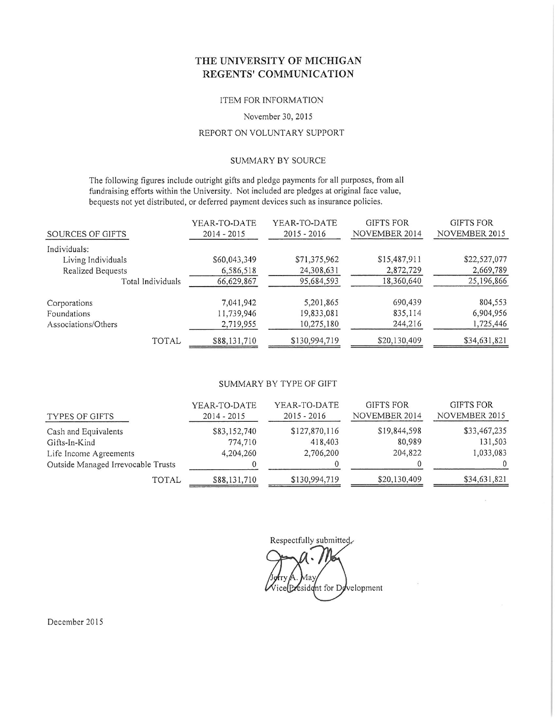# THE UNIVERSITY OF MICHIGAN REGENTS' COMMUNICATION

#### ITEM FOR INFORMATION

#### November 30, 2015

## REPORT ON VOLUNTARY SUPPORT

### SUMMARY BY SOURCE

The following figures include outright gifts and pledge payments for all purposes, from all fundraising efforts within the University. Not included are pledges at original face value, bequests not yet distributed, or deferred payment devices such as insurance policies.

|                     | YEAR-TO-DATE  | YEAR-TO-DATE  | <b>GIFTS FOR</b> | <b>GIFTS FOR</b> |
|---------------------|---------------|---------------|------------------|------------------|
| SOURCES OF GIFTS    | $2014 - 2015$ | $2015 - 2016$ | NOVEMBER 2014    | NOVEMBER 2015    |
| Individuals:        |               |               |                  |                  |
| Living Individuals  | \$60,043,349  | \$71,375,962  | \$15,487,911     | \$22,527,077     |
| Realized Bequests   | 6,586,518     | 24,308,631    | 2,872,729        | 2,669,789        |
| Total Individuals   | 66,629,867    | 95,684,593    | 18,360,640       | 25,196,866       |
| Corporations        | 7,041,942     | 5,201,865     | 690,439          | 804,553          |
| Foundations         | 11,739,946    | 19,833,081    | 835,114          | 6,904,956        |
| Associations/Others | 2,719,955     | 10,275,180    | 244,216          | 1,725,446        |
| TOTAL               | \$88,131,710  | \$130,994,719 | \$20,130,409     | \$34,631,821     |

#### SUMMARY BY TYPE OF GIFT

| TYPES OF GIFTS                     | YEAR-TO-DATE<br>$2014 - 2015$ | YEAR-TO-DATE<br>$2015 - 2016$ | <b>GIFTS FOR</b><br>NOVEMBER 2014 | <b>GIFTS FOR</b><br>NOVEMBER 2015 |
|------------------------------------|-------------------------------|-------------------------------|-----------------------------------|-----------------------------------|
| Cash and Equivalents               | \$83,152,740                  | \$127,870,116                 | \$19,844,598                      | \$33,467,235                      |
| Gifts-In-Kind                      | 774,710                       | 418,403                       | 80,989                            | 131,503                           |
| Life Income Agreements             | 4,204,260                     | 2,706,200                     | 204,822                           | 1,033,083                         |
| Outside Managed Irrevocable Trusts |                               |                               |                                   |                                   |
| TOTAL                              | \$88,131,710                  | \$130,994,719                 | \$20,130,409                      | \$34,631,821                      |

Respectfully submitted,

Aav esident for Development

December 2015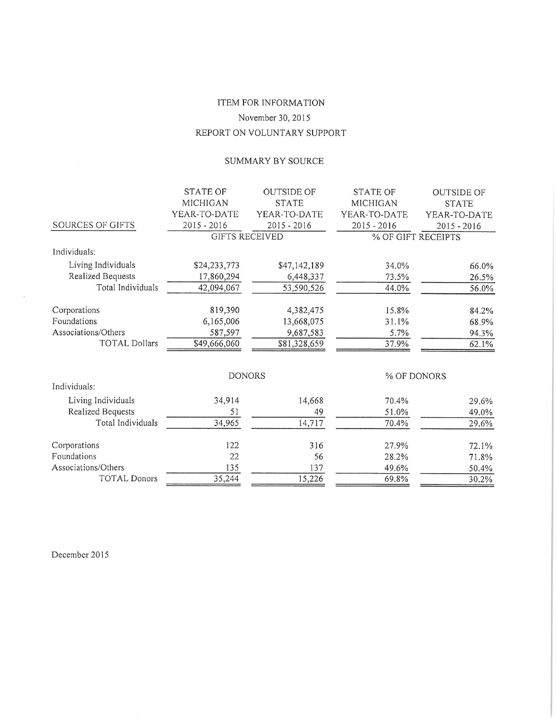# ITEM FOR INFORMATION November 30, 2015 REPORT ON VOLUNTARY SUPPORT

# SUMMARY BY SOURCE

|                          | <b>STATE OF</b>       | <b>OUTSIDE OF</b> | <b>STATE OF</b>    | <b>OUTSIDE OF</b> |
|--------------------------|-----------------------|-------------------|--------------------|-------------------|
|                          | MICHIGAN              | <b>STATE</b>      | MICHIGAN           | <b>STATE</b>      |
|                          | YEAR-TO-DATE          | YEAR-TO-DATE      | YEAR-TO-DATE       | YEAR-TO-DATE      |
| SOURCES OF GIFTS         | $2015 - 2016$         | $2015 - 2016$     | $2015 - 2016$      | $2015 - 2016$     |
|                          | <b>GIFTS RECEIVED</b> |                   | % OF GIFT RECEIPTS |                   |
| Individuals:             |                       |                   |                    |                   |
| Living Individuals       | \$24,233,773          | \$47,142,189      | 34.0%              | 66.0%             |
| <b>Realized Bequests</b> | 17,860,294            | 6,448,337         | 73.5%              | 26.5%             |
| Total Individuals        | 42,094,067            | 53,590,526        | 44.0%              | 56.0%             |
|                          |                       |                   |                    |                   |
| Corporations             | 819,390               | 4,382,475         | 15.8%              | 84.2%             |
| Foundations              | 6,165,006             | 13,668,075        | 31.1%              | 68.9%             |
| Associations/Others      | 587,597               | 9,687,583         | 5.7%               | 94.3%             |
| <b>TOTAL Dollars</b>     | \$49,666,060          | \$81,328,659      | 37.9%              | 62.1%             |
|                          |                       |                   |                    |                   |
|                          | <b>DONORS</b>         |                   | % OF DONORS        |                   |
| Individuals:             |                       |                   |                    |                   |
| Living Individuals       | 34,914                | 14,668            | 70.4%              | 29.6%             |
| <b>Realized Bequests</b> | 51                    | 49                | 51.0%              | 49.0%             |
| Total Individuals        | 34,965                | 14,717            | 70.4%              | 29.6%             |
| Corporations             | 122                   | 316               | 27.9%              |                   |
| Foundations              | 22                    | 56                |                    | 72.1%             |
| Associations/Others      | 135                   |                   | 28.2%              | 71.8%             |
| <b>TOTAL Donors</b>      |                       | 137               | 49.6%              | 50.4%             |
|                          | 35,244                | 15,226            | 69.8%              | 30.2%             |

December 2015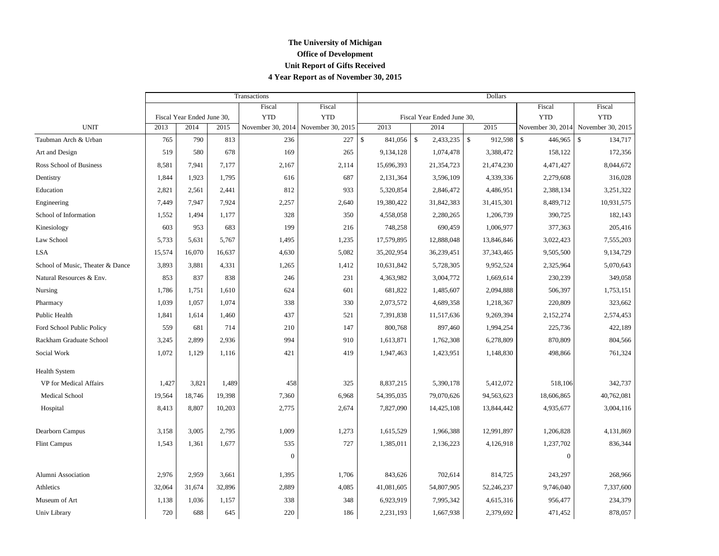## **The University of Michigan Office of Development Unit Report of Gifts Received 4 Year Report as of November 30, 2015**

|                                  |        |                            |        | Transactions      |                   | Dollars |            |                            |                    |              |                   |                               |
|----------------------------------|--------|----------------------------|--------|-------------------|-------------------|---------|------------|----------------------------|--------------------|--------------|-------------------|-------------------------------|
|                                  |        |                            |        | Fiscal            | Fiscal            |         |            |                            |                    |              | Fiscal            | Fiscal                        |
|                                  |        | Fiscal Year Ended June 30, |        | <b>YTD</b>        | <b>YTD</b>        |         |            | Fiscal Year Ended June 30, |                    |              | <b>YTD</b>        | <b>YTD</b>                    |
| <b>UNIT</b>                      | 2013   | 2014                       | 2015   | November 30, 2014 | November 30, 2015 |         | 2013       | 2014                       |                    | 2015         | November 30, 2014 | November 30, 2015             |
| Taubman Arch & Urban             | 765    | 790                        | 813    | 236               | 227               | \$      | 841,056    | $\mathbb{S}$<br>2,433,235  | $\mathbf{\hat{S}}$ | 912,598      | \$<br>446,965     | $\mathbf{\hat{S}}$<br>134,717 |
| Art and Design                   | 519    | 580                        | 678    | 169               | 265               |         | 9,134,128  | 1,074,478                  |                    | 3,388,472    | 158,122           | 172,356                       |
| Ross School of Business          | 8,581  | 7,941                      | 7,177  | 2,167             | 2,114             |         | 15,696,393 | 21,354,723                 |                    | 21,474,230   | 4,471,427         | 8,044,672                     |
| Dentistry                        | 1,844  | 1,923                      | 1,795  | 616               | 687               |         | 2,131,364  | 3,596,109                  |                    | 4,339,336    | 2,279,608         | 316,028                       |
| Education                        | 2,821  | 2,561                      | 2,441  | 812               | 933               |         | 5,320,854  | 2,846,472                  |                    | 4,486,951    | 2,388,134         | 3,251,322                     |
| Engineering                      | 7,449  | 7,947                      | 7,924  | 2,257             | 2,640             |         | 19,380,422 | 31,842,383                 |                    | 31,415,301   | 8,489,712         | 10,931,575                    |
| School of Information            | 1,552  | 1,494                      | 1,177  | 328               | 350               |         | 4,558,058  | 2,280,265                  |                    | 1,206,739    | 390,725           | 182,143                       |
| Kinesiology                      | 603    | 953                        | 683    | 199               | 216               |         | 748,258    | 690,459                    |                    | 1,006,977    | 377,363           | 205,416                       |
| Law School                       | 5,733  | 5,631                      | 5,767  | 1,495             | 1,235             |         | 17,579,895 | 12,888,048                 |                    | 13,846,846   | 3,022,423         | 7,555,203                     |
| <b>LSA</b>                       | 15,574 | 16,070                     | 16,637 | 4,630             | 5,082             |         | 35,202,954 | 36,239,451                 |                    | 37, 343, 465 | 9,505,500         | 9,134,729                     |
| School of Music, Theater & Dance | 3,893  | 3,881                      | 4,331  | 1,265             | 1,412             |         | 10,631,842 | 5,728,305                  |                    | 9,952,524    | 2,325,964         | 5,070,643                     |
| Natural Resources & Env.         | 853    | 837                        | 838    | 246               | 231               |         | 4,363,982  | 3,004,772                  |                    | 1,669,614    | 230,239           | 349,058                       |
| Nursing                          | 1,786  | 1,751                      | 1,610  | 624               | 601               |         | 681,822    | 1,485,607                  |                    | 2,094,888    | 506,397           | 1,753,151                     |
| Pharmacy                         | 1,039  | 1,057                      | 1,074  | 338               | 330               |         | 2,073,572  | 4,689,358                  |                    | 1,218,367    | 220,809           | 323,662                       |
| Public Health                    | 1,841  | 1,614                      | 1,460  | 437               | 521               |         | 7,391,838  | 11,517,636                 |                    | 9,269,394    | 2,152,274         | 2,574,453                     |
| Ford School Public Policy        | 559    | 681                        | 714    | 210               | 147               |         | 800,768    | 897,460                    |                    | 1,994,254    | 225,736           | 422,189                       |
| Rackham Graduate School          | 3,245  | 2,899                      | 2,936  | 994               | 910               |         | 1,613,871  | 1,762,308                  |                    | 6,278,809    | 870,809           | 804,566                       |
| Social Work                      | 1,072  | 1,129                      | 1,116  | 421               | 419               |         | 1,947,463  | 1,423,951                  |                    | 1,148,830    | 498,866           | 761,324                       |
| <b>Health System</b>             |        |                            |        |                   |                   |         |            |                            |                    |              |                   |                               |
| VP for Medical Affairs           | 1,427  | 3,821                      | 1,489  | 458               | 325               |         | 8,837,215  | 5,390,178                  |                    | 5,412,072    | 518,106           | 342,737                       |
| <b>Medical School</b>            | 19,564 | 18,746                     | 19,398 | 7,360             | 6,968             |         | 54,395,035 | 79,070,626                 |                    | 94,563,623   | 18,606,865        | 40,762,081                    |
| Hospital                         | 8,413  | 8,807                      | 10,203 | 2,775             | 2,674             |         | 7,827,090  | 14,425,108                 |                    | 13,844,442   | 4,935,677         | 3,004,116                     |
| Dearborn Campus                  | 3,158  | 3,005                      | 2,795  | 1,009             | 1,273             |         | 1,615,529  | 1,966,388                  |                    | 12,991,897   | 1,206,828         | 4,131,869                     |
| <b>Flint Campus</b>              | 1,543  | 1,361                      | 1,677  | 535               | 727               |         | 1,385,011  | 2,136,223                  |                    | 4,126,918    | 1,237,702         | 836,344                       |
|                                  |        |                            |        | $\Omega$          |                   |         |            |                            |                    |              | $\overline{0}$    |                               |
| Alumni Association               | 2,976  | 2,959                      | 3,661  | 1,395             | 1,706             |         | 843,626    | 702,614                    |                    | 814,725      | 243,297           | 268,966                       |
| Athletics                        | 32,064 | 31,674                     | 32,896 | 2,889             | 4,085             |         | 41,081,605 | 54,807,905                 |                    | 52,246,237   | 9,746,040         | 7,337,600                     |
| Museum of Art                    | 1,138  | 1,036                      | 1,157  | 338               | 348               |         | 6,923,919  | 7,995,342                  |                    | 4,615,316    | 956,477           | 234,379                       |
| Univ Library                     | 720    | 688                        | 645    | 220               | 186               |         | 2,231,193  | 1,667,938                  |                    | 2,379,692    | 471,452           | 878,057                       |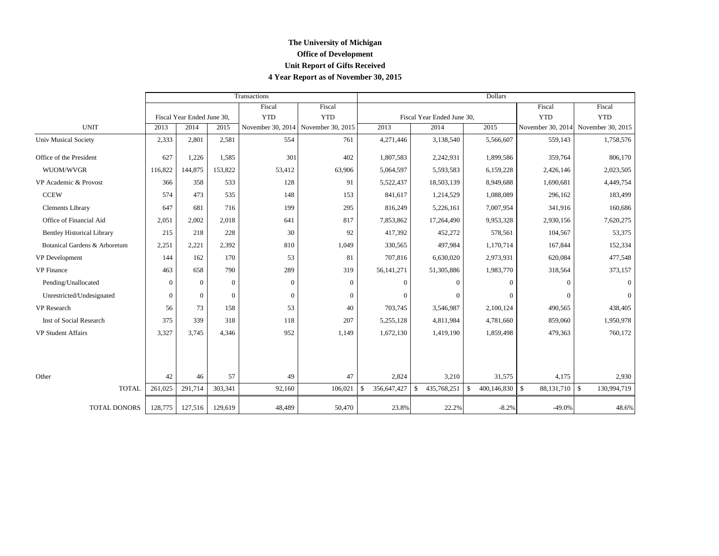## **The University of Michigan Office of Development Unit Report of Gifts Received 4 Year Report as of November 30, 2015**

|                                   |          |                            |          | Transactions                        |            | <b>Dollars</b>     |                            |                                    |                 |                                     |  |  |
|-----------------------------------|----------|----------------------------|----------|-------------------------------------|------------|--------------------|----------------------------|------------------------------------|-----------------|-------------------------------------|--|--|
|                                   |          |                            |          | Fiscal                              | Fiscal     |                    |                            |                                    | Fiscal          | Fiscal                              |  |  |
|                                   |          | Fiscal Year Ended June 30, |          | <b>YTD</b>                          | <b>YTD</b> |                    | Fiscal Year Ended June 30, |                                    | <b>YTD</b>      | <b>YTD</b>                          |  |  |
| <b>UNIT</b>                       | 2013     | 2014                       | 2015     | November 30, 2014 November 30, 2015 |            | 2013               | 2014                       | 2015                               |                 | November 30, 2014 November 30, 2015 |  |  |
| <b>Univ Musical Society</b>       | 2,333    | 2,801                      | 2,581    | 554                                 | 761        | 4,271,446          | 3,138,540                  | 5,566,607                          | 559,143         | 1,758,576                           |  |  |
| Office of the President           | 627      | 1,226                      | 1,585    | 301                                 | 402        | 1,807,583          | 2,242,931                  | 1,899,586                          | 359,764         | 806,170                             |  |  |
| WUOM/WVGR                         | 116,822  | 144,875                    | 153,822  | 53,412                              | 63,906     | 5,064,597          | 5,593,583                  | 6,159,228                          | 2,426,146       | 2,023,505                           |  |  |
| VP Academic & Provost             | 366      | 358                        | 533      | 128                                 | 91         | 5,522,437          | 18,503,139                 | 8,949,688                          | 1,690,681       | 4,449,754                           |  |  |
| <b>CCEW</b>                       | 574      | 473                        | 535      | 148                                 | 153        | 841,617            | 1,214,529                  | 1,088,089                          | 296,162         | 183,499                             |  |  |
| <b>Clements Library</b>           | 647      | 681                        | 716      | 199                                 | 295        | 816,249            | 5,226,161                  | 7,007,954                          | 341,916         | 160,686                             |  |  |
| Office of Financial Aid           | 2,051    | 2,002                      | 2,018    | 641                                 | 817        | 7,853,862          | 17,264,490                 | 9,953,328                          | 2,930,156       | 7,620,275                           |  |  |
| <b>Bentley Historical Library</b> | 215      | 218                        | 228      | 30                                  | 92         | 417,392            | 452,272                    | 578,561                            | 104,567         | 53,375                              |  |  |
| Botanical Gardens & Arboretum     | 2,251    | 2,221                      | 2,392    | 810                                 | 1,049      | 330,565            | 497,984                    | 1,170,714                          | 167,844         | 152,334                             |  |  |
| VP Development                    | 144      | 162                        | 170      | 53                                  | 81         | 707,816            | 6,630,020                  | 2,973,931                          | 620,084         | 477,548                             |  |  |
| <b>VP</b> Finance                 | 463      | 658                        | 790      | 289                                 | 319        | 56,141,271         | 51,305,886                 | 1,983,770                          | 318,564         | 373,157                             |  |  |
| Pending/Unallocated               | $\Omega$ | $\Omega$                   | $\Omega$ | $\overline{0}$                      | $\Omega$   | $\overline{0}$     | $\Omega$                   | $\Omega$                           | $\Omega$        | $\Omega$                            |  |  |
| Unrestricted/Undesignated         | $\Omega$ | $\Omega$                   | $\Omega$ | $\overline{0}$                      | $\Omega$   | $\Omega$           | $\Omega$                   | $\Omega$                           | $\Omega$        |                                     |  |  |
| VP Research                       | 56       | 73                         | 158      | 53                                  | 40         | 703,745            | 3,546,987                  | 2,100,124                          | 490,565         | 438,405                             |  |  |
| Inst of Social Research           | 375      | 339                        | 318      | 118                                 | 207        | 5,255,128          | 4,811,984                  | 4,781,660                          | 859,060         | 1,950,978                           |  |  |
| <b>VP Student Affairs</b>         | 3,327    | 3,745                      | 4,346    | 952                                 | 1,149      | 1,672,130          | 1,419,190                  | 1,859,498                          | 479,363         | 760,172                             |  |  |
|                                   |          |                            |          |                                     |            |                    |                            |                                    |                 |                                     |  |  |
| Other                             | 42       | 46                         | 57       | 49                                  | 47         | 2,824              | 3,210                      | 31,575                             | 4,175           | 2,930                               |  |  |
| <b>TOTAL</b>                      | 261,025  | 291,714                    | 303,341  | 92,160                              | 106,021    | 356,647,427<br>-\$ | \$<br>435,768,251          | $400, 146, 830$ \$<br>$\mathbb{S}$ | 88, 131, 710 \$ | 130,994,719                         |  |  |
| <b>TOTAL DONORS</b>               | 128,775  | 127,516                    | 129,619  | 48,489                              | 50,470     | 23.8%              | 22.2%                      | $-8.2%$                            | $-49.0%$        | 48.6%                               |  |  |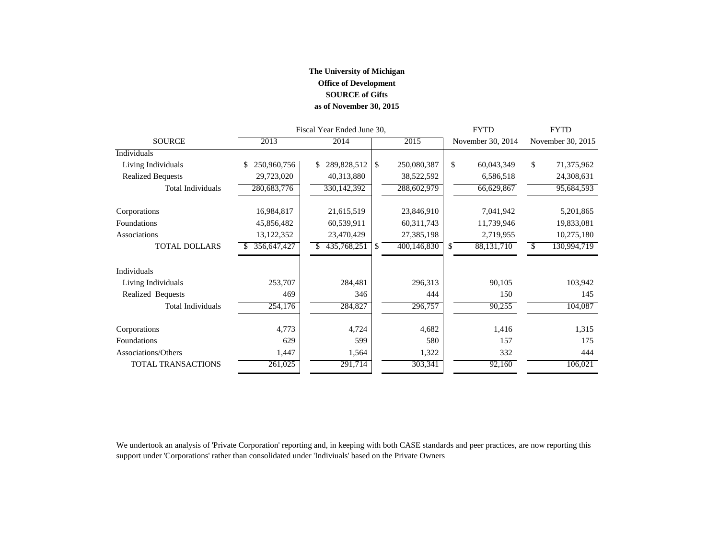## **The University of Michigan Office of Development SOURCE of Gifts as of November 30, 2015**

|                           |                   | Fiscal Year Ended June 30, |          | <b>FYTD</b>  | <b>FYTD</b> |                   |    |                   |
|---------------------------|-------------------|----------------------------|----------|--------------|-------------|-------------------|----|-------------------|
| <b>SOURCE</b>             | 2013              | 2014                       |          | 2015         |             | November 30, 2014 |    | November 30, 2015 |
| Individuals               |                   |                            |          |              |             |                   |    |                   |
| Living Individuals        | 250,960,756<br>\$ | 289,828,512<br>\$.         | <b>S</b> | 250,080,387  | \$          | 60,043,349        | \$ | 71,375,962        |
| <b>Realized Bequests</b>  | 29,723,020        | 40,313,880                 |          | 38,522,592   |             | 6,586,518         |    | 24,308,631        |
| <b>Total Individuals</b>  | 280,683,776       | 330,142,392                |          | 288,602,979  |             | 66,629,867        |    | 95,684,593        |
| Corporations              | 16,984,817        | 21,615,519                 |          | 23,846,910   |             | 7,041,942         |    | 5,201,865         |
| Foundations               | 45,856,482        | 60,539,911                 |          | 60, 311, 743 |             | 11,739,946        |    | 19,833,081        |
| Associations              | 13, 122, 352      | 23,470,429                 |          | 27,385,198   |             | 2,719,955         |    | 10,275,180        |
| <b>TOTAL DOLLARS</b>      | 356,647,427       | 435,768,251                | -S       | 400,146,830  | S.          | 88,131,710        | -S | 130,994,719       |
| <b>Individuals</b>        |                   |                            |          |              |             |                   |    |                   |
| Living Individuals        | 253,707           | 284,481                    |          | 296,313      |             | 90,105            |    | 103,942           |
| Realized Bequests         | 469               | 346                        |          | 444          |             | 150               |    | 145               |
| <b>Total Individuals</b>  | 254,176           | 284,827                    |          | 296,757      |             | 90,255            |    | 104,087           |
| Corporations              | 4,773             | 4,724                      |          | 4,682        |             | 1,416             |    | 1,315             |
| Foundations               | 629               | 599                        |          | 580          |             | 157               |    | 175               |
| Associations/Others       | 1,447             | 1,564                      |          | 1,322        |             | 332               |    | 444               |
| <b>TOTAL TRANSACTIONS</b> | 261,025           | 291,714                    |          | 303,341      |             | 92,160            |    | 106,021           |

We undertook an analysis of 'Private Corporation' reporting and, in keeping with both CASE standards and peer practices, are now reporting this support under 'Corporations' rather than consolidated under 'Indiviuals' based on the Private Owners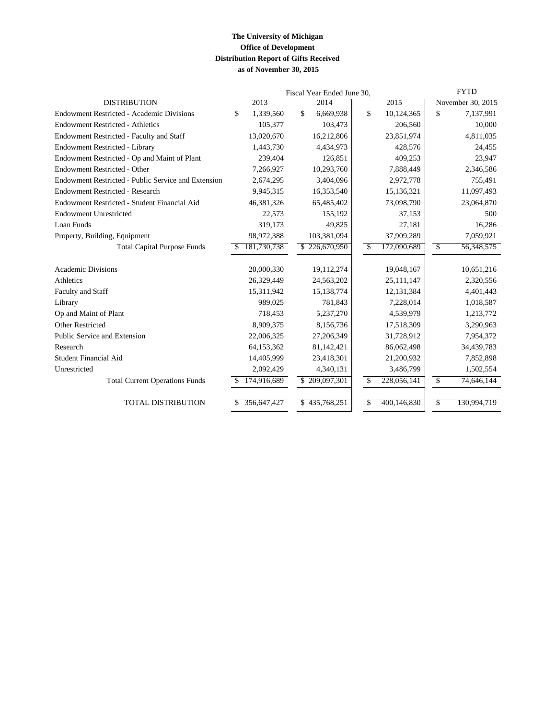### **The University of Michigan Office of Development Distribution Report of Gifts Received as of November 30, 2015**

|                                                     |                    | Fiscal Year Ended June 30, | <b>FYTD</b>               |                                       |
|-----------------------------------------------------|--------------------|----------------------------|---------------------------|---------------------------------------|
| <b>DISTRIBUTION</b>                                 | 2013               | 2014                       | 2015                      | November 30, 2015                     |
| <b>Endowment Restricted - Academic Divisions</b>    | 1,339,560<br>\$    | \$<br>6,669,938            | \$<br>10,124,365          | $\overline{\mathcal{S}}$<br>7,137,991 |
| <b>Endowment Restricted - Athletics</b>             | 105,377            | 103,473                    | 206,560                   | 10,000                                |
| <b>Endowment Restricted - Faculty and Staff</b>     | 13,020,670         | 16,212,806                 | 23,851,974                | 4,811,035                             |
| Endowment Restricted - Library                      | 1,443,730          | 4,434,973                  | 428,576                   | 24,455                                |
| Endowment Restricted - Op and Maint of Plant        | 239,404            | 126,851                    | 409,253                   | 23,947                                |
| Endowment Restricted - Other                        | 7,266,927          | 10,293,760                 | 7,888,449                 | 2,346,586                             |
| Endowment Restricted - Public Service and Extension | 2,674,295          | 3,404,096                  | 2,972,778                 | 755,491                               |
| <b>Endowment Restricted - Research</b>              | 9,945,315          | 16,353,540                 | 15,136,321                | 11,097,493                            |
| Endowment Restricted - Student Financial Aid        | 46,381,326         | 65,485,402                 | 73,098,790                | 23,064,870                            |
| <b>Endowment Unrestricted</b>                       | 22,573             | 155,192                    | 37,153                    | 500                                   |
| Loan Funds                                          | 319,173            | 49,825                     | 27,181                    | 16,286                                |
| Property, Building, Equipment                       | 98,972,388         | 103,381,094                | 37,909,289                | 7,059,921                             |
| <b>Total Capital Purpose Funds</b>                  | 181,730,738<br>\$. | \$226,670,950              | 172,090,689<br>$\sqrt{3}$ | 56,348,575<br>\$                      |
|                                                     |                    |                            |                           |                                       |
| <b>Academic Divisions</b>                           | 20,000,330         | 19,112,274                 | 19,048,167                | 10,651,216                            |
| Athletics                                           | 26,329,449         | 24,563,202                 | 25,111,147                | 2,320,556                             |
| Faculty and Staff                                   | 15,311,942         | 15,138,774                 | 12,131,384                | 4,401,443                             |
| Library                                             | 989.025            | 781,843                    | 7,228,014                 | 1,018,587                             |
| Op and Maint of Plant                               | 718,453            | 5,237,270                  | 4,539,979                 | 1,213,772                             |
| <b>Other Restricted</b>                             | 8,909,375          | 8,156,736                  | 17,518,309                | 3,290,963                             |
| Public Service and Extension                        | 22,006,325         | 27,206,349                 | 31,728,912                | 7,954,372                             |
| Research                                            | 64,153,362         | 81,142,421                 | 86,062,498                | 34,439,783                            |
| <b>Student Financial Aid</b>                        | 14,405,999         | 23,418,301                 | 21,200,932                | 7,852,898                             |
| Unrestricted                                        | 2,092,429          | 4,340,131                  | 3,486,799                 | 1,502,554                             |
| <b>Total Current Operations Funds</b>               | 174,916,689        | \$209,097,301              | 228,056,141<br>\$         | \$<br>74,646,144                      |
| <b>TOTAL DISTRIBUTION</b>                           | 356,647,427        | 435,768,251<br>\$          | 400,146,830<br>\$         | \$<br>130,994,719                     |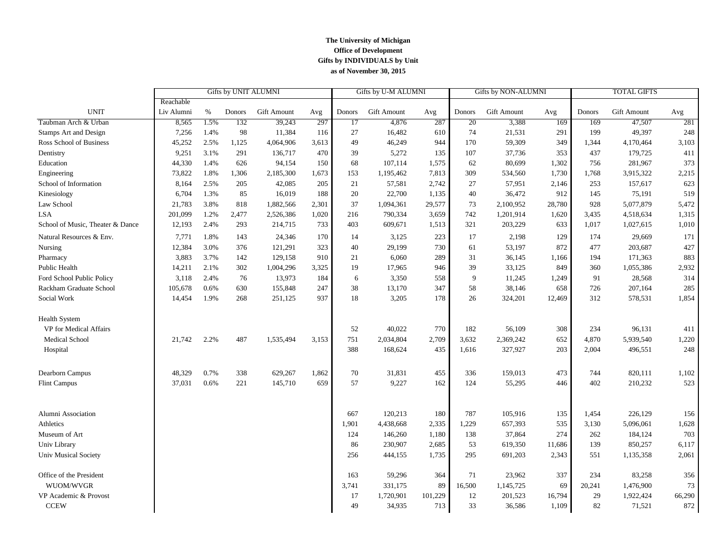#### **The University of Michigan Office of Development Gifts by INDIVIDUALS by Unit as of November 30, 2015**

|                                  |            | Gifts by UNIT ALUMNI<br>Gifts by U-M ALUMNI<br>Gifts by NON-ALUMNI |        |             | <b>TOTAL GIFTS</b> |               |                    |         |        |             |        |        |             |        |
|----------------------------------|------------|--------------------------------------------------------------------|--------|-------------|--------------------|---------------|--------------------|---------|--------|-------------|--------|--------|-------------|--------|
|                                  | Reachable  |                                                                    |        |             |                    |               |                    |         |        |             |        |        |             |        |
| <b>UNIT</b>                      | Liv Alumni | %                                                                  | Donors | Gift Amount | Avg                | <b>Donors</b> | <b>Gift Amount</b> | Avg     | Donors | Gift Amount | Avg    | Donors | Gift Amount | Avg    |
| Taubman Arch & Urban             | 8,565      | 1.5%                                                               | 132    | 39,243      | 297                | 17            | 4,876              | 287     | 20     | 3,388       | 169    | 169    | 47,507      | 281    |
| <b>Stamps Art and Design</b>     | 7,256      | 1.4%                                                               | 98     | 11,384      | 116                | 27            | 16,482             | 610     | 74     | 21,531      | 291    | 199    | 49,397      | 248    |
| Ross School of Business          | 45,252     | 2.5%                                                               | 1,125  | 4,064,906   | 3,613              | 49            | 46,249             | 944     | 170    | 59,309      | 349    | 1,344  | 4,170,464   | 3,103  |
| Dentistry                        | 9,251      | 3.1%                                                               | 291    | 136,717     | 470                | 39            | 5,272              | 135     | 107    | 37,736      | 353    | 437    | 179,725     | 411    |
| Education                        | 44,330     | 1.4%                                                               | 626    | 94,154      | 150                | 68            | 107,114            | 1,575   | 62     | 80,699      | 1,302  | 756    | 281,967     | 373    |
| Engineering                      | 73,822     | 1.8%                                                               | 1,306  | 2,185,300   | 1,673              | 153           | 1,195,462          | 7,813   | 309    | 534,560     | 1,730  | 1,768  | 3,915,322   | 2,215  |
| School of Information            | 8,164      | 2.5%                                                               | 205    | 42,085      | 205                | 21            | 57,581             | 2,742   | 27     | 57,951      | 2,146  | 253    | 157,617     | 623    |
| Kinesiology                      | 6,704      | 1.3%                                                               | 85     | 16,019      | 188                | 20            | 22,700             | 1,135   | 40     | 36,472      | 912    | 145    | 75,191      | 519    |
| Law School                       | 21,783     | 3.8%                                                               | 818    | 1,882,566   | 2,301              | 37            | 1,094,361          | 29,577  | 73     | 2,100,952   | 28,780 | 928    | 5,077,879   | 5,472  |
| <b>LSA</b>                       | 201,099    | 1.2%                                                               | 2,477  | 2,526,386   | 1,020              | 216           | 790,334            | 3,659   | 742    | 1,201,914   | 1,620  | 3,435  | 4,518,634   | 1,315  |
| School of Music, Theater & Dance | 12,193     | 2.4%                                                               | 293    | 214,715     | 733                | 403           | 609,671            | 1,513   | 321    | 203,229     | 633    | 1,017  | 1,027,615   | 1,010  |
| Natural Resources & Env.         | 7,771      | 1.8%                                                               | 143    | 24,346      | 170                | 14            | 3,125              | 223     | 17     | 2,198       | 129    | 174    | 29,669      | 171    |
| Nursing                          | 12,384     | 3.0%                                                               | 376    | 121,291     | 323                | 40            | 29,199             | 730     | 61     | 53,197      | 872    | 477    | 203,687     | 427    |
| Pharmacy                         | 3,883      | 3.7%                                                               | 142    | 129,158     | 910                | 21            | 6,060              | 289     | 31     | 36,145      | 1,166  | 194    | 171,363     | 883    |
| Public Health                    | 14,211     | 2.1%                                                               | 302    | 1,004,296   | 3,325              | 19            | 17,965             | 946     | 39     | 33,125      | 849    | 360    | 1,055,386   | 2,932  |
| Ford School Public Policy        | 3,118      | 2.4%                                                               | 76     | 13,973      | 184                | 6             | 3,350              | 558     | 9      | 11,245      | 1,249  | 91     | 28,568      | 314    |
| Rackham Graduate School          | 105,678    | 0.6%                                                               | 630    | 155,848     | 247                | 38            | 13,170             | 347     | 58     | 38,146      | 658    | 726    | 207,164     | 285    |
| Social Work                      | 14,454     | 1.9%                                                               | 268    | 251,125     | 937                | 18            | 3,205              | 178     | 26     | 324,201     | 12,469 | 312    | 578,531     | 1,854  |
| <b>Health System</b>             |            |                                                                    |        |             |                    |               |                    |         |        |             |        |        |             |        |
| VP for Medical Affairs           |            |                                                                    |        |             |                    | 52            | 40,022             | 770     | 182    | 56,109      | 308    | 234    | 96,131      | 411    |
| <b>Medical School</b>            | 21,742     | 2.2%                                                               | 487    | 1,535,494   | 3,153              | 751           | 2,034,804          | 2,709   | 3,632  | 2,369,242   | 652    | 4,870  | 5,939,540   | 1,220  |
| Hospital                         |            |                                                                    |        |             |                    | 388           | 168,624            | 435     | 1,616  | 327,927     | 203    | 2,004  | 496,551     | 248    |
| Dearborn Campus                  | 48,329     | 0.7%                                                               | 338    | 629,267     | 1,862              | 70            | 31,831             | 455     | 336    | 159,013     | 473    | 744    | 820,111     | 1,102  |
| <b>Flint Campus</b>              | 37,031     | 0.6%                                                               | 221    | 145,710     | 659                | 57            | 9,227              | 162     | 124    | 55,295      | 446    | 402    | 210,232     | 523    |
|                                  |            |                                                                    |        |             |                    |               |                    |         |        |             |        |        |             |        |
| Alumni Association               |            |                                                                    |        |             |                    | 667           | 120,213            | 180     | 787    | 105,916     | 135    | 1,454  | 226,129     | 156    |
| Athletics                        |            |                                                                    |        |             |                    | 1,901         | 4,438,668          | 2,335   | 1,229  | 657,393     | 535    | 3,130  | 5,096,061   | 1,628  |
| Museum of Art                    |            |                                                                    |        |             |                    | 124           | 146,260            | 1,180   | 138    | 37,864      | 274    | 262    | 184,124     | 703    |
| Univ Library                     |            |                                                                    |        |             |                    | 86            | 230,907            | 2,685   | 53     | 619,350     | 11,686 | 139    | 850,257     | 6,117  |
| Univ Musical Society             |            |                                                                    |        |             |                    | 256           | 444,155            | 1,735   | 295    | 691,203     | 2,343  | 551    | 1,135,358   | 2,061  |
| Office of the President          |            |                                                                    |        |             |                    | 163           | 59,296             | 364     | 71     | 23,962      | 337    | 234    | 83,258      | 356    |
| WUOM/WVGR                        |            |                                                                    |        |             |                    | 3,741         | 331,175            | 89      | 16,500 | 1,145,725   | 69     | 20,241 | 1,476,900   | 73     |
| VP Academic & Provost            |            |                                                                    |        |             |                    | 17            | 1,720,901          | 101,229 | 12     | 201,523     | 16,794 | 29     | 1,922,424   | 66,290 |
| <b>CCEW</b>                      |            |                                                                    |        |             |                    | 49            | 34,935             | 713     | 33     | 36,586      | 1,109  | 82     | 71,521      | 872    |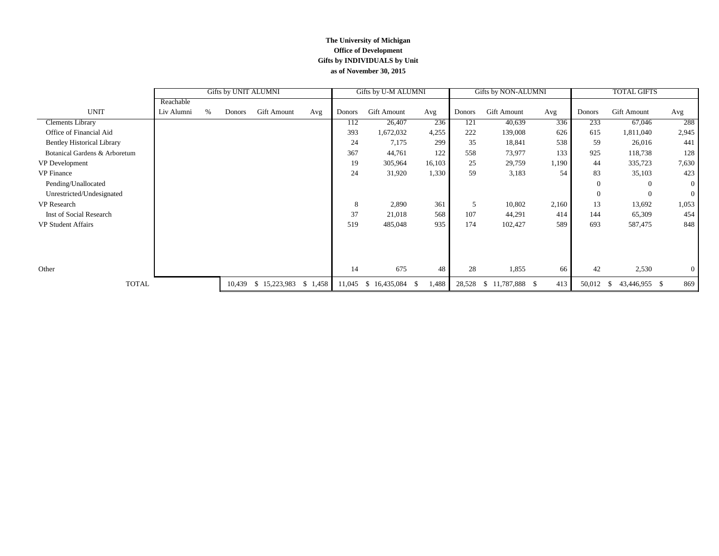#### **The University of Michigan Office of Development Gifts by INDIVIDUALS by Unit as of November 30, 2015**

|                                   | Gifts by UNIT ALUMNI |      |        |              | Gifts by U-M ALUMNI |        | Gifts by NON-ALUMNI |             |        | <b>TOTAL GIFTS</b> |       |               |                     |                |
|-----------------------------------|----------------------|------|--------|--------------|---------------------|--------|---------------------|-------------|--------|--------------------|-------|---------------|---------------------|----------------|
|                                   | Reachable            |      |        |              |                     |        |                     |             |        |                    |       |               |                     |                |
| <b>UNIT</b>                       | Liv Alumni           | $\%$ | Donors | Gift Amount  | Avg                 | Donors | <b>Gift Amount</b>  | Avg         | Donors | <b>Gift Amount</b> | Avg   | <b>Donors</b> | <b>Gift Amount</b>  | Avg            |
| <b>Clements Library</b>           |                      |      |        |              |                     | 112    | 26,407              | 236         | 121    | 40,639             | 336   | 233           | 67,046              | 288            |
| Office of Financial Aid           |                      |      |        |              |                     | 393    | 1,672,032           | 4,255       | 222    | 139,008            | 626   | 615           | 1,811,040           | 2,945          |
| <b>Bentley Historical Library</b> |                      |      |        |              |                     | 24     | 7,175               | 299         | 35     | 18,841             | 538   | 59            | 26,016              | 441            |
| Botanical Gardens & Arboretum     |                      |      |        |              |                     | 367    | 44,761              | 122         | 558    | 73,977             | 133   | 925           | 118,738             | 128            |
| VP Development                    |                      |      |        |              |                     | 19     | 305,964             | 16,103      | 25     | 29,759             | 1,190 | 44            | 335,723             | 7,630          |
| <b>VP</b> Finance                 |                      |      |        |              |                     | 24     | 31,920              | 1,330       | 59     | 3,183              | 54    | 83            | 35,103              | 423            |
| Pending/Unallocated               |                      |      |        |              |                     |        |                     |             |        |                    |       | $\Omega$      | $\Omega$            | $\theta$       |
| Unrestricted/Undesignated         |                      |      |        |              |                     |        |                     |             |        |                    |       | $\theta$      | $\theta$            | $\overline{0}$ |
| <b>VP</b> Research                |                      |      |        |              |                     | 8      | 2,890               | 361         | 5      | 10,802             | 2,160 | 13            | 13,692              | 1,053          |
| Inst of Social Research           |                      |      |        |              |                     | 37     | 21,018              | 568         | 107    | 44,291             | 414   | 144           | 65,309              | 454            |
| <b>VP Student Affairs</b>         |                      |      |        |              |                     | 519    | 485,048             | 935         | 174    | 102,427            | 589   | 693           | 587,475             | 848            |
|                                   |                      |      |        |              |                     |        |                     |             |        |                    |       |               |                     |                |
|                                   |                      |      |        |              |                     |        |                     |             |        |                    |       |               |                     |                |
|                                   |                      |      |        |              |                     |        |                     |             |        |                    |       |               |                     |                |
| Other                             |                      |      |        |              |                     | 14     | 675                 | 48          | 28     | 1,855              | 66    | 42            | 2,530               | $\overline{0}$ |
| <b>TOTAL</b>                      |                      |      | 10,439 | \$15,223,983 | \$1,458             | 11,045 | 16,435,084<br>-S    | 1,488<br>-S | 28,528 | $$11,787,888$ \;   | 413   | 50,012        | 43,446,955 \$<br>-S | 869            |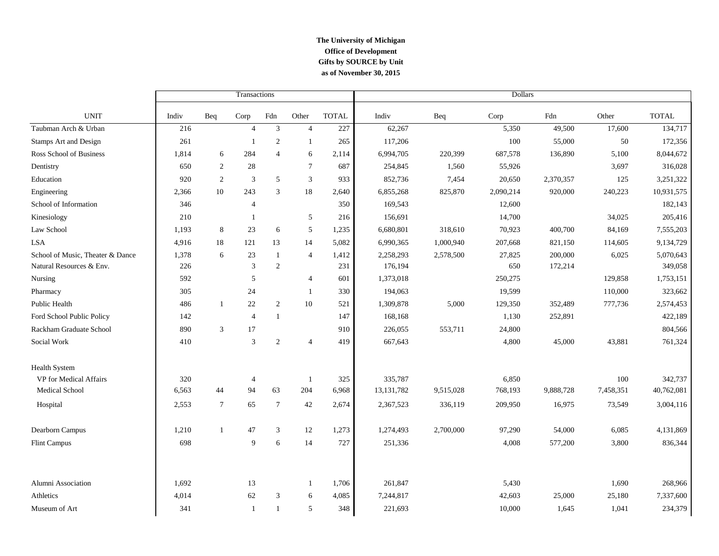### **The University of Michigan Office of Development as of November 30, 2015 Gifts by SOURCE by Unit**

|                                  |       |                 | Transactions   |                |                |              | Dollars      |           |           |           |           |              |  |
|----------------------------------|-------|-----------------|----------------|----------------|----------------|--------------|--------------|-----------|-----------|-----------|-----------|--------------|--|
| <b>UNIT</b>                      | Indiv | Beq             | Corp           | Fdn            | Other          | <b>TOTAL</b> | Indiv        | Beq       | Corp      | Fdn       | Other     | <b>TOTAL</b> |  |
| Taubman Arch & Urban             | 216   |                 | $\overline{4}$ | $\overline{3}$ | $\overline{4}$ | 227          | 62,267       |           | 5,350     | 49,500    | 17,600    | 134,717      |  |
| Stamps Art and Design            | 261   |                 | $\mathbf{1}$   | $\overline{2}$ | $\overline{1}$ | 265          | 117,206      |           | 100       | 55,000    | 50        | 172,356      |  |
| Ross School of Business          | 1,814 | 6               | 284            | $\overline{4}$ | 6              | 2,114        | 6,994,705    | 220,399   | 687,578   | 136,890   | 5,100     | 8,044,672    |  |
| Dentistry                        | 650   | 2               | 28             |                | $\overline{7}$ | 687          | 254,845      | 1,560     | 55,926    |           | 3,697     | 316,028      |  |
| Education                        | 920   | 2               | 3              | 5              | 3              | 933          | 852,736      | 7,454     | 20,650    | 2,370,357 | 125       | 3,251,322    |  |
| Engineering                      | 2,366 | 10              | 243            | 3              | 18             | 2,640        | 6,855,268    | 825,870   | 2,090,214 | 920,000   | 240,223   | 10,931,575   |  |
| School of Information            | 346   |                 | $\overline{4}$ |                |                | 350          | 169,543      |           | 12,600    |           |           | 182,143      |  |
| Kinesiology                      | 210   |                 | $\mathbf{1}$   |                | 5              | 216          | 156,691      |           | 14,700    |           | 34,025    | 205,416      |  |
| Law School                       | 1,193 | 8               | 23             | 6              | $\sqrt{5}$     | 1,235        | 6,680,801    | 318,610   | 70,923    | 400,700   | 84,169    | 7,555,203    |  |
| <b>LSA</b>                       | 4,916 | 18              | 121            | 13             | 14             | 5,082        | 6,990,365    | 1,000,940 | 207,668   | 821,150   | 114,605   | 9,134,729    |  |
| School of Music, Theater & Dance | 1,378 | 6               | 23             | $\mathbf{1}$   | $\overline{4}$ | 1,412        | 2,258,293    | 2,578,500 | 27,825    | 200,000   | 6,025     | 5,070,643    |  |
| Natural Resources & Env.         | 226   |                 | 3              | $\mathbf{2}$   |                | 231          | 176,194      |           | 650       | 172,214   |           | 349,058      |  |
| Nursing                          | 592   |                 | 5              |                | $\overline{4}$ | 601          | 1,373,018    |           | 250,275   |           | 129,858   | 1,753,151    |  |
| Pharmacy                         | 305   |                 | 24             |                | $\mathbf{1}$   | 330          | 194,063      |           | 19,599    |           | 110,000   | 323,662      |  |
| Public Health                    | 486   | -1              | 22             | 2              | 10             | 521          | 1,309,878    | 5,000     | 129,350   | 352,489   | 777,736   | 2,574,453    |  |
| Ford School Public Policy        | 142   |                 | $\overline{4}$ | $\mathbf{1}$   |                | 147          | 168,168      |           | 1,130     | 252,891   |           | 422,189      |  |
| Rackham Graduate School          | 890   | 3               | 17             |                |                | 910          | 226,055      | 553,711   | 24,800    |           |           | 804,566      |  |
| Social Work                      | 410   |                 | 3              | $\mathbf{2}$   | $\overline{4}$ | 419          | 667,643      |           | 4,800     | 45,000    | 43,881    | 761,324      |  |
| <b>Health System</b>             |       |                 |                |                |                |              |              |           |           |           |           |              |  |
| VP for Medical Affairs           | 320   |                 | 4              |                | -1             | 325          | 335,787      |           | 6,850     |           | 100       | 342,737      |  |
| Medical School                   | 6,563 | 44              | 94             | 63             | 204            | 6,968        | 13, 131, 782 | 9,515,028 | 768,193   | 9,888,728 | 7,458,351 | 40,762,081   |  |
| Hospital                         | 2,553 | $7\phantom{.0}$ | 65             | $\tau$         | 42             | 2,674        | 2,367,523    | 336,119   | 209,950   | 16,975    | 73,549    | 3,004,116    |  |
| Dearborn Campus                  | 1,210 | -1              | 47             | 3              | 12             | 1,273        | 1,274,493    | 2,700,000 | 97,290    | 54,000    | 6,085     | 4,131,869    |  |
| <b>Flint Campus</b>              | 698   |                 | 9              | 6              | 14             | 727          | 251,336      |           | 4,008     | 577,200   | 3,800     | 836,344      |  |
|                                  |       |                 |                |                |                |              |              |           |           |           |           |              |  |
| Alumni Association               | 1,692 |                 | 13             |                | $\mathbf{1}$   | 1,706        | 261,847      |           | 5,430     |           | 1,690     | 268,966      |  |
| Athletics                        | 4,014 |                 | 62             | 3              | 6              | 4,085        | 7,244,817    |           | 42,603    | 25,000    | 25,180    | 7,337,600    |  |
| Museum of Art                    | 341   |                 | 1              | $\mathbf{1}$   | 5              | 348          | 221,693      |           | 10,000    | 1,645     | 1,041     | 234,379      |  |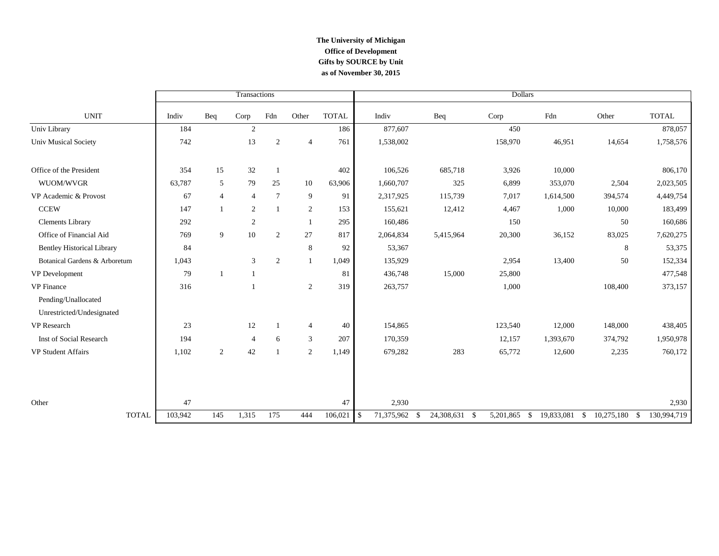### **The University of Michigan Office of Development as of November 30, 2015 Gifts by SOURCE by Unit**

|                                   |         |                | Transactions     |                |                |              | <b>Dollars</b>                 |               |              |            |                                     |              |
|-----------------------------------|---------|----------------|------------------|----------------|----------------|--------------|--------------------------------|---------------|--------------|------------|-------------------------------------|--------------|
| <b>UNIT</b>                       | Indiv   | Beq            | Corp             | Fdn            | Other          | <b>TOTAL</b> | Indiv                          | Beq           | Corp         | Fdn        | Other                               | <b>TOTAL</b> |
| Univ Library                      | 184     |                | $\overline{2}$   |                |                | 186          | 877,607                        |               | 450          |            |                                     | 878,057      |
| Univ Musical Society              | 742     |                | 13               | $\overline{2}$ | $\overline{4}$ | 761          | 1,538,002                      |               | 158,970      | 46,951     | 14,654                              | 1,758,576    |
| Office of the President           | 354     | 15             | 32               |                |                | 402          | 106,526                        | 685,718       | 3,926        | 10,000     |                                     | 806,170      |
| WUOM/WVGR                         | 63,787  | 5              | 79               | 25             | 10             | 63,906       | 1,660,707                      | 325           | 6,899        | 353,070    | 2,504                               | 2,023,505    |
| VP Academic & Provost             | 67      | $\overline{4}$ | $\overline{4}$   | $\overline{7}$ | 9              | 91           | 2,317,925                      | 115,739       | 7,017        | 1,614,500  | 394,574                             | 4,449,754    |
| <b>CCEW</b>                       | 147     | $\overline{1}$ | $\overline{2}$   | $\mathbf{1}$   | 2              | 153          | 155,621                        | 12,412        | 4,467        | 1,000      | 10,000                              | 183,499      |
| Clements Library                  | 292     |                | $\boldsymbol{2}$ |                |                | 295          | 160,486                        |               | 150          |            | 50                                  | 160,686      |
| Office of Financial Aid           | 769     | 9              | $10\,$           | 2              | 27             | 817          | 2,064,834                      | 5,415,964     | 20,300       | 36,152     | 83,025                              | 7,620,275    |
| <b>Bentley Historical Library</b> | 84      |                |                  |                | 8              | 92           | 53,367                         |               |              |            | 8                                   | 53,375       |
| Botanical Gardens & Arboretum     | 1,043   |                | 3                | $\overline{2}$ |                | 1,049        | 135,929                        |               | 2,954        | 13,400     | 50                                  | 152,334      |
| VP Development                    | 79      | $\overline{1}$ |                  |                |                | 81           | 436,748                        | 15,000        | 25,800       |            |                                     | 477,548      |
| <b>VP</b> Finance                 | 316     |                |                  |                | 2              | 319          | 263,757                        |               | 1,000        |            | 108,400                             | 373,157      |
| Pending/Unallocated               |         |                |                  |                |                |              |                                |               |              |            |                                     |              |
| Unrestricted/Undesignated         |         |                |                  |                |                |              |                                |               |              |            |                                     |              |
| <b>VP</b> Research                | 23      |                | 12               |                | $\overline{4}$ | 40           | 154,865                        |               | 123,540      | 12,000     | 148,000                             | 438,405      |
| Inst of Social Research           | 194     |                | $\overline{4}$   | 6              | 3              | 207          | 170,359                        |               | 12,157       | 1,393,670  | 374,792                             | 1,950,978    |
| <b>VP Student Affairs</b>         | 1,102   | 2              | 42               |                | 2              | 1,149        | 679,282                        | 283           | 65,772       | 12,600     | 2,235                               | 760,172      |
|                                   |         |                |                  |                |                |              |                                |               |              |            |                                     |              |
| Other                             | 47      |                |                  |                |                | 47           | 2,930                          |               |              |            |                                     | 2,930        |
| <b>TOTAL</b>                      | 103,942 | 145            | 1,315            | 175            | 444            | 106,021      | $\mathcal{S}$<br>71,375,962 \$ | 24,308,631 \$ | 5,201,865 \$ | 19,833,081 | 10,275,180 \$<br>$\mathbf{\hat{s}}$ | 130,994,719  |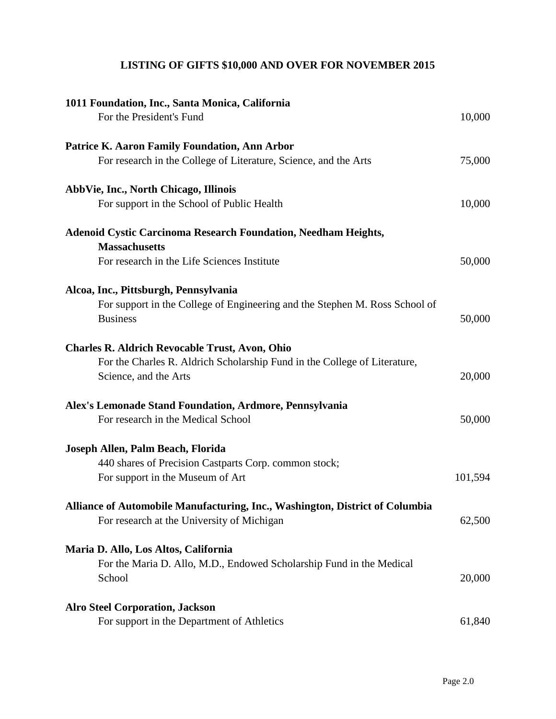# **LISTING OF GIFTS \$10,000 AND OVER FOR NOVEMBER 2015**

| 1011 Foundation, Inc., Santa Monica, California                              |         |
|------------------------------------------------------------------------------|---------|
| For the President's Fund                                                     | 10,000  |
| <b>Patrice K. Aaron Family Foundation, Ann Arbor</b>                         |         |
| For research in the College of Literature, Science, and the Arts             | 75,000  |
| <b>AbbVie, Inc., North Chicago, Illinois</b>                                 |         |
| For support in the School of Public Health                                   | 10,000  |
| <b>Adenoid Cystic Carcinoma Research Foundation, Needham Heights,</b>        |         |
| <b>Massachusetts</b>                                                         |         |
| For research in the Life Sciences Institute                                  | 50,000  |
| Alcoa, Inc., Pittsburgh, Pennsylvania                                        |         |
| For support in the College of Engineering and the Stephen M. Ross School of  |         |
| <b>Business</b>                                                              | 50,000  |
| <b>Charles R. Aldrich Revocable Trust, Avon, Ohio</b>                        |         |
| For the Charles R. Aldrich Scholarship Fund in the College of Literature,    |         |
| Science, and the Arts                                                        | 20,000  |
| Alex's Lemonade Stand Foundation, Ardmore, Pennsylvania                      |         |
| For research in the Medical School                                           | 50,000  |
| Joseph Allen, Palm Beach, Florida                                            |         |
| 440 shares of Precision Castparts Corp. common stock;                        |         |
| For support in the Museum of Art                                             | 101,594 |
| Alliance of Automobile Manufacturing, Inc., Washington, District of Columbia |         |
| For research at the University of Michigan                                   | 62,500  |
| Maria D. Allo, Los Altos, California                                         |         |
| For the Maria D. Allo, M.D., Endowed Scholarship Fund in the Medical         |         |
| School                                                                       | 20,000  |
| <b>Alro Steel Corporation, Jackson</b>                                       |         |
| For support in the Department of Athletics                                   | 61,840  |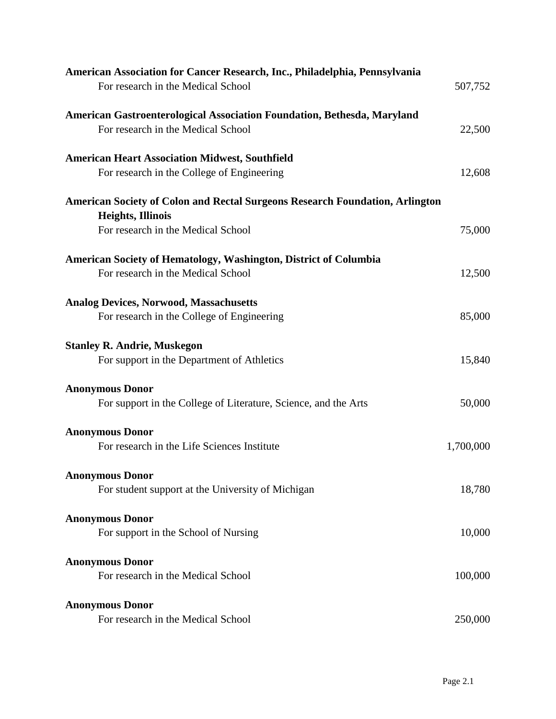| American Association for Cancer Research, Inc., Philadelphia, Pennsylvania<br>For research in the Medical School | 507,752   |
|------------------------------------------------------------------------------------------------------------------|-----------|
| American Gastroenterological Association Foundation, Bethesda, Maryland<br>For research in the Medical School    | 22,500    |
| <b>American Heart Association Midwest, Southfield</b>                                                            |           |
| For research in the College of Engineering                                                                       | 12,608    |
| <b>American Society of Colon and Rectal Surgeons Research Foundation, Arlington</b><br><b>Heights, Illinois</b>  |           |
| For research in the Medical School                                                                               | 75,000    |
| American Society of Hematology, Washington, District of Columbia<br>For research in the Medical School           | 12,500    |
| <b>Analog Devices, Norwood, Massachusetts</b><br>For research in the College of Engineering                      | 85,000    |
| <b>Stanley R. Andrie, Muskegon</b><br>For support in the Department of Athletics                                 | 15,840    |
| <b>Anonymous Donor</b><br>For support in the College of Literature, Science, and the Arts                        | 50,000    |
| <b>Anonymous Donor</b><br>For research in the Life Sciences Institute                                            | 1,700,000 |
| <b>Anonymous Donor</b><br>For student support at the University of Michigan                                      | 18,780    |
| <b>Anonymous Donor</b><br>For support in the School of Nursing                                                   | 10,000    |
| <b>Anonymous Donor</b><br>For research in the Medical School                                                     | 100,000   |
| <b>Anonymous Donor</b><br>For research in the Medical School                                                     | 250,000   |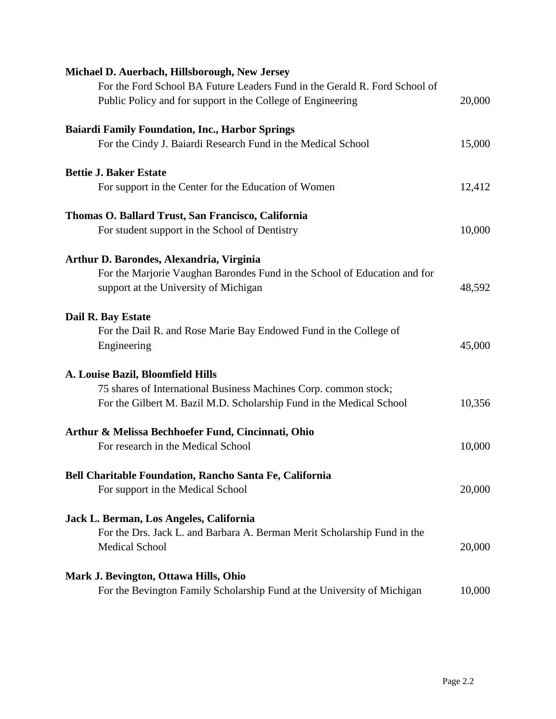| Michael D. Auerbach, Hillsborough, New Jersey                              |        |
|----------------------------------------------------------------------------|--------|
| For the Ford School BA Future Leaders Fund in the Gerald R. Ford School of |        |
| Public Policy and for support in the College of Engineering                | 20,000 |
| <b>Baiardi Family Foundation, Inc., Harbor Springs</b>                     |        |
| For the Cindy J. Baiardi Research Fund in the Medical School               | 15,000 |
| <b>Bettie J. Baker Estate</b>                                              |        |
| For support in the Center for the Education of Women                       | 12,412 |
| Thomas O. Ballard Trust, San Francisco, California                         |        |
| For student support in the School of Dentistry                             | 10,000 |
| Arthur D. Barondes, Alexandria, Virginia                                   |        |
| For the Marjorie Vaughan Barondes Fund in the School of Education and for  |        |
| support at the University of Michigan                                      | 48,592 |
| Dail R. Bay Estate                                                         |        |
| For the Dail R. and Rose Marie Bay Endowed Fund in the College of          |        |
| Engineering                                                                | 45,000 |
| A. Louise Bazil, Bloomfield Hills                                          |        |
| 75 shares of International Business Machines Corp. common stock;           |        |
| For the Gilbert M. Bazil M.D. Scholarship Fund in the Medical School       | 10,356 |
| Arthur & Melissa Bechhoefer Fund, Cincinnati, Ohio                         |        |
| For research in the Medical School                                         | 10,000 |
| Bell Charitable Foundation, Rancho Santa Fe, California                    |        |
| For support in the Medical School                                          | 20,000 |
| Jack L. Berman, Los Angeles, California                                    |        |
| For the Drs. Jack L. and Barbara A. Berman Merit Scholarship Fund in the   |        |
| <b>Medical School</b>                                                      | 20,000 |
| Mark J. Bevington, Ottawa Hills, Ohio                                      |        |
| For the Bevington Family Scholarship Fund at the University of Michigan    | 10,000 |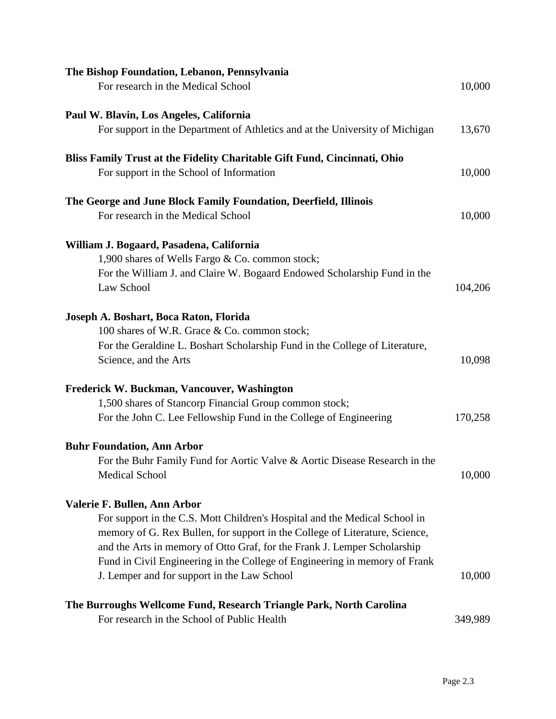| The Bishop Foundation, Lebanon, Pennsylvania                                 |         |
|------------------------------------------------------------------------------|---------|
| For research in the Medical School                                           | 10,000  |
| Paul W. Blavin, Los Angeles, California                                      |         |
| For support in the Department of Athletics and at the University of Michigan | 13,670  |
| Bliss Family Trust at the Fidelity Charitable Gift Fund, Cincinnati, Ohio    |         |
| For support in the School of Information                                     | 10,000  |
| The George and June Block Family Foundation, Deerfield, Illinois             |         |
| For research in the Medical School                                           | 10,000  |
| William J. Bogaard, Pasadena, California                                     |         |
| 1,900 shares of Wells Fargo & Co. common stock;                              |         |
| For the William J. and Claire W. Bogaard Endowed Scholarship Fund in the     |         |
| Law School                                                                   | 104,206 |
| Joseph A. Boshart, Boca Raton, Florida                                       |         |
| 100 shares of W.R. Grace & Co. common stock;                                 |         |
| For the Geraldine L. Boshart Scholarship Fund in the College of Literature,  |         |
| Science, and the Arts                                                        | 10,098  |
| Frederick W. Buckman, Vancouver, Washington                                  |         |
| 1,500 shares of Stancorp Financial Group common stock;                       |         |
| For the John C. Lee Fellowship Fund in the College of Engineering            | 170,258 |
| <b>Buhr Foundation, Ann Arbor</b>                                            |         |
| For the Buhr Family Fund for Aortic Valve & Aortic Disease Research in the   |         |
| Medical School                                                               | 10,000  |
| Valerie F. Bullen, Ann Arbor                                                 |         |
| For support in the C.S. Mott Children's Hospital and the Medical School in   |         |
| memory of G. Rex Bullen, for support in the College of Literature, Science,  |         |
| and the Arts in memory of Otto Graf, for the Frank J. Lemper Scholarship     |         |
| Fund in Civil Engineering in the College of Engineering in memory of Frank   |         |
| J. Lemper and for support in the Law School                                  | 10,000  |
| The Burroughs Wellcome Fund, Research Triangle Park, North Carolina          |         |
| For research in the School of Public Health                                  | 349,989 |
|                                                                              |         |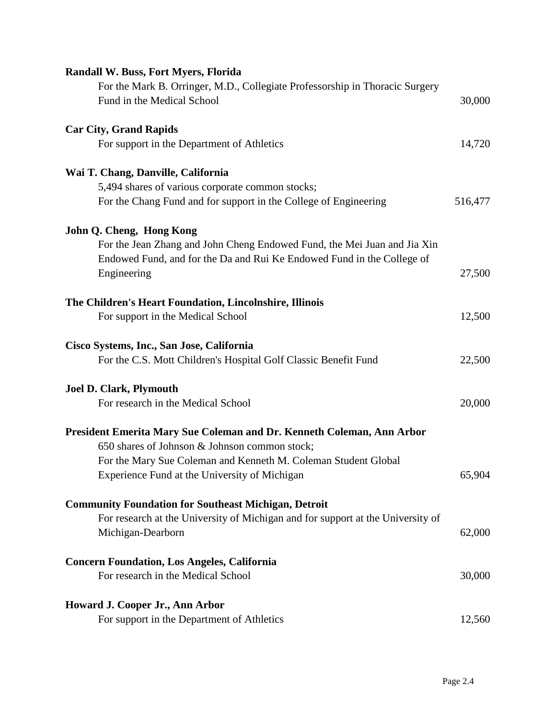| <b>Randall W. Buss, Fort Myers, Florida</b>                                     |         |
|---------------------------------------------------------------------------------|---------|
| For the Mark B. Orringer, M.D., Collegiate Professorship in Thoracic Surgery    |         |
| Fund in the Medical School                                                      | 30,000  |
| <b>Car City, Grand Rapids</b>                                                   |         |
| For support in the Department of Athletics                                      | 14,720  |
| Wai T. Chang, Danville, California                                              |         |
| 5,494 shares of various corporate common stocks;                                |         |
| For the Chang Fund and for support in the College of Engineering                | 516,477 |
| John Q. Cheng, Hong Kong                                                        |         |
| For the Jean Zhang and John Cheng Endowed Fund, the Mei Juan and Jia Xin        |         |
| Endowed Fund, and for the Da and Rui Ke Endowed Fund in the College of          |         |
| Engineering                                                                     | 27,500  |
| The Children's Heart Foundation, Lincolnshire, Illinois                         |         |
| For support in the Medical School                                               | 12,500  |
| Cisco Systems, Inc., San Jose, California                                       |         |
| For the C.S. Mott Children's Hospital Golf Classic Benefit Fund                 | 22,500  |
| <b>Joel D. Clark, Plymouth</b>                                                  |         |
| For research in the Medical School                                              | 20,000  |
| President Emerita Mary Sue Coleman and Dr. Kenneth Coleman, Ann Arbor           |         |
| 650 shares of Johnson & Johnson common stock;                                   |         |
| For the Mary Sue Coleman and Kenneth M. Coleman Student Global                  |         |
| Experience Fund at the University of Michigan                                   | 65,904  |
| <b>Community Foundation for Southeast Michigan, Detroit</b>                     |         |
| For research at the University of Michigan and for support at the University of |         |
| Michigan-Dearborn                                                               | 62,000  |
| <b>Concern Foundation, Los Angeles, California</b>                              |         |
| For research in the Medical School                                              | 30,000  |
| Howard J. Cooper Jr., Ann Arbor                                                 |         |
| For support in the Department of Athletics                                      | 12,560  |
|                                                                                 |         |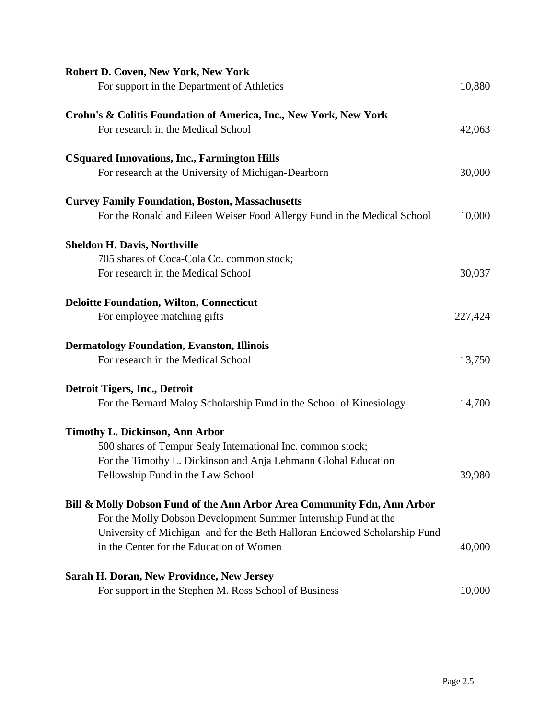| Robert D. Coven, New York, New York                                       |         |
|---------------------------------------------------------------------------|---------|
| For support in the Department of Athletics                                | 10,880  |
| Crohn's & Colitis Foundation of America, Inc., New York, New York         |         |
| For research in the Medical School                                        | 42,063  |
| <b>CSquared Innovations, Inc., Farmington Hills</b>                       |         |
| For research at the University of Michigan-Dearborn                       | 30,000  |
| <b>Curvey Family Foundation, Boston, Massachusetts</b>                    |         |
| For the Ronald and Eileen Weiser Food Allergy Fund in the Medical School  | 10,000  |
| <b>Sheldon H. Davis, Northville</b>                                       |         |
| 705 shares of Coca-Cola Co. common stock;                                 |         |
| For research in the Medical School                                        | 30,037  |
| <b>Deloitte Foundation, Wilton, Connecticut</b>                           |         |
| For employee matching gifts                                               | 227,424 |
| <b>Dermatology Foundation, Evanston, Illinois</b>                         |         |
| For research in the Medical School                                        | 13,750  |
| Detroit Tigers, Inc., Detroit                                             |         |
| For the Bernard Maloy Scholarship Fund in the School of Kinesiology       | 14,700  |
| <b>Timothy L. Dickinson, Ann Arbor</b>                                    |         |
| 500 shares of Tempur Sealy International Inc. common stock;               |         |
| For the Timothy L. Dickinson and Anja Lehmann Global Education            |         |
| Fellowship Fund in the Law School                                         | 39,980  |
| Bill & Molly Dobson Fund of the Ann Arbor Area Community Fdn, Ann Arbor   |         |
| For the Molly Dobson Development Summer Internship Fund at the            |         |
| University of Michigan and for the Beth Halloran Endowed Scholarship Fund |         |
| in the Center for the Education of Women                                  | 40,000  |
| Sarah H. Doran, New Providnce, New Jersey                                 |         |
| For support in the Stephen M. Ross School of Business                     | 10,000  |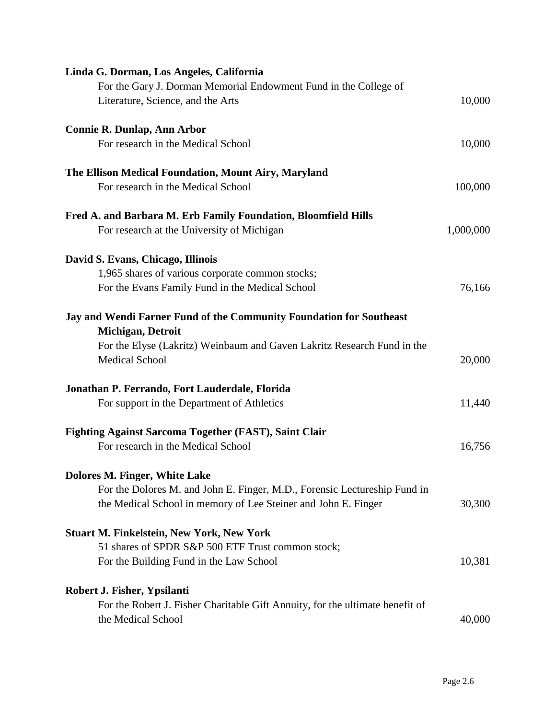| Linda G. Dorman, Los Angeles, California                                                            |           |
|-----------------------------------------------------------------------------------------------------|-----------|
| For the Gary J. Dorman Memorial Endowment Fund in the College of                                    |           |
| Literature, Science, and the Arts                                                                   | 10,000    |
|                                                                                                     |           |
| <b>Connie R. Dunlap, Ann Arbor</b>                                                                  |           |
| For research in the Medical School                                                                  | 10,000    |
| The Ellison Medical Foundation, Mount Airy, Maryland                                                |           |
| For research in the Medical School                                                                  | 100,000   |
| Fred A. and Barbara M. Erb Family Foundation, Bloomfield Hills                                      |           |
|                                                                                                     | 1,000,000 |
| For research at the University of Michigan                                                          |           |
| David S. Evans, Chicago, Illinois                                                                   |           |
| 1,965 shares of various corporate common stocks;                                                    |           |
| For the Evans Family Fund in the Medical School                                                     | 76,166    |
| Jay and Wendi Farner Fund of the Community Foundation for Southeast<br>Michigan, Detroit            |           |
| For the Elyse (Lakritz) Weinbaum and Gaven Lakritz Research Fund in the<br><b>Medical School</b>    | 20,000    |
| Jonathan P. Ferrando, Fort Lauderdale, Florida                                                      |           |
| For support in the Department of Athletics                                                          | 11,440    |
| <b>Fighting Against Sarcoma Together (FAST), Saint Clair</b><br>For research in the Medical School  | 16,756    |
|                                                                                                     |           |
| Dolores M. Finger, White Lake                                                                       |           |
| For the Dolores M. and John E. Finger, M.D., Forensic Lectureship Fund in                           |           |
| the Medical School in memory of Lee Steiner and John E. Finger                                      | 30,300    |
| <b>Stuart M. Finkelstein, New York, New York</b>                                                    |           |
| 51 shares of SPDR S&P 500 ETF Trust common stock;                                                   |           |
| For the Building Fund in the Law School                                                             | 10,381    |
|                                                                                                     |           |
| Robert J. Fisher, Ypsilanti                                                                         |           |
| For the Robert J. Fisher Charitable Gift Annuity, for the ultimate benefit of<br>the Medical School | 40,000    |
|                                                                                                     |           |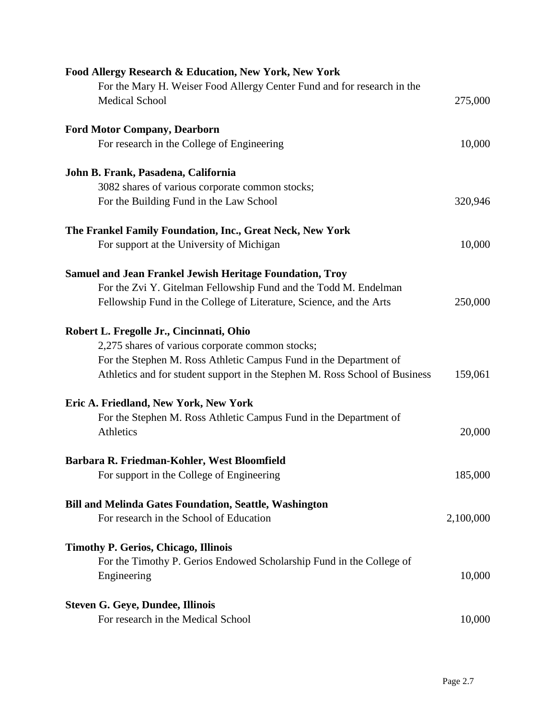| Food Allergy Research & Education, New York, New York                       |           |
|-----------------------------------------------------------------------------|-----------|
| For the Mary H. Weiser Food Allergy Center Fund and for research in the     |           |
| <b>Medical School</b>                                                       | 275,000   |
| <b>Ford Motor Company, Dearborn</b>                                         |           |
| For research in the College of Engineering                                  | 10,000    |
| John B. Frank, Pasadena, California                                         |           |
| 3082 shares of various corporate common stocks;                             |           |
| For the Building Fund in the Law School                                     | 320,946   |
| The Frankel Family Foundation, Inc., Great Neck, New York                   |           |
| For support at the University of Michigan                                   | 10,000    |
| <b>Samuel and Jean Frankel Jewish Heritage Foundation, Troy</b>             |           |
| For the Zvi Y. Gitelman Fellowship Fund and the Todd M. Endelman            |           |
| Fellowship Fund in the College of Literature, Science, and the Arts         | 250,000   |
| Robert L. Fregolle Jr., Cincinnati, Ohio                                    |           |
| 2,275 shares of various corporate common stocks;                            |           |
| For the Stephen M. Ross Athletic Campus Fund in the Department of           |           |
| Athletics and for student support in the Stephen M. Ross School of Business | 159,061   |
| Eric A. Friedland, New York, New York                                       |           |
| For the Stephen M. Ross Athletic Campus Fund in the Department of           |           |
| Athletics                                                                   | 20,000    |
| Barbara R. Friedman-Kohler, West Bloomfield                                 |           |
| For support in the College of Engineering                                   | 185,000   |
| <b>Bill and Melinda Gates Foundation, Seattle, Washington</b>               |           |
| For research in the School of Education                                     | 2,100,000 |
| <b>Timothy P. Gerios, Chicago, Illinois</b>                                 |           |
| For the Timothy P. Gerios Endowed Scholarship Fund in the College of        |           |
| Engineering                                                                 | 10,000    |
| <b>Steven G. Geye, Dundee, Illinois</b>                                     |           |
| For research in the Medical School                                          | 10,000    |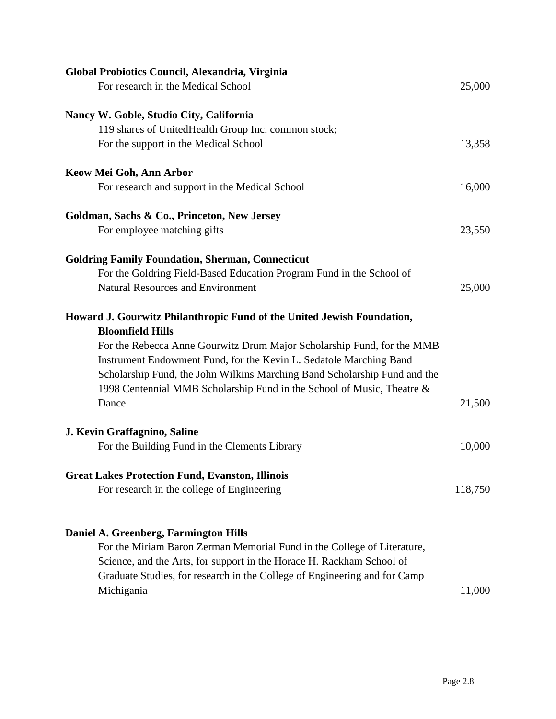| Global Probiotics Council, Alexandria, Virginia                                                   |         |
|---------------------------------------------------------------------------------------------------|---------|
| For research in the Medical School                                                                | 25,000  |
| Nancy W. Goble, Studio City, California                                                           |         |
| 119 shares of UnitedHealth Group Inc. common stock;                                               |         |
| For the support in the Medical School                                                             | 13,358  |
| Keow Mei Goh, Ann Arbor                                                                           |         |
| For research and support in the Medical School                                                    | 16,000  |
| Goldman, Sachs & Co., Princeton, New Jersey                                                       |         |
| For employee matching gifts                                                                       | 23,550  |
| <b>Goldring Family Foundation, Sherman, Connecticut</b>                                           |         |
| For the Goldring Field-Based Education Program Fund in the School of                              |         |
| <b>Natural Resources and Environment</b>                                                          | 25,000  |
| Howard J. Gourwitz Philanthropic Fund of the United Jewish Foundation,<br><b>Bloomfield Hills</b> |         |
| For the Rebecca Anne Gourwitz Drum Major Scholarship Fund, for the MMB                            |         |
| Instrument Endowment Fund, for the Kevin L. Sedatole Marching Band                                |         |
| Scholarship Fund, the John Wilkins Marching Band Scholarship Fund and the                         |         |
| 1998 Centennial MMB Scholarship Fund in the School of Music, Theatre &                            |         |
| Dance                                                                                             | 21,500  |
| J. Kevin Graffagnino, Saline                                                                      |         |
| For the Building Fund in the Clements Library                                                     | 10,000  |
| <b>Great Lakes Protection Fund, Evanston, Illinois</b>                                            |         |
| For research in the college of Engineering                                                        | 118,750 |
|                                                                                                   |         |
| Daniel A. Greenberg, Farmington Hills                                                             |         |
| For the Miriam Baron Zerman Memorial Fund in the College of Literature,                           |         |
| Science, and the Arts, for support in the Horace H. Rackham School of                             |         |
| Graduate Studies, for research in the College of Engineering and for Camp                         |         |
| Michigania                                                                                        | 11,000  |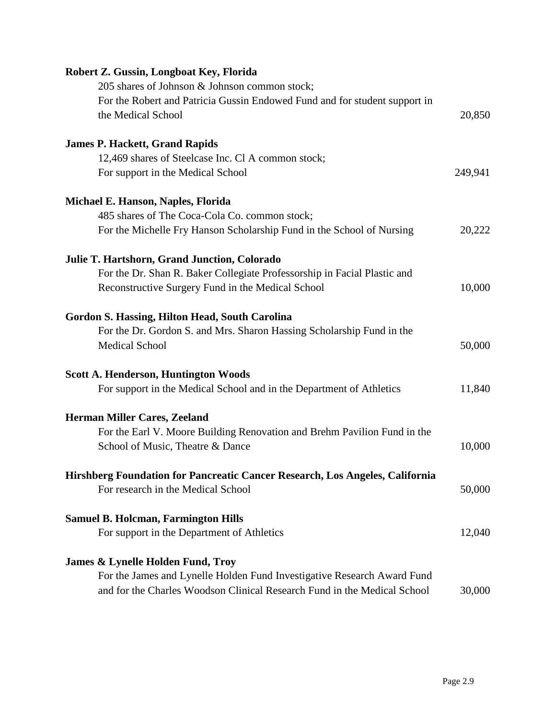| Robert Z. Gussin, Longboat Key, Florida                                                          |         |
|--------------------------------------------------------------------------------------------------|---------|
| 205 shares of Johnson & Johnson common stock;                                                    |         |
| For the Robert and Patricia Gussin Endowed Fund and for student support in<br>the Medical School | 20,850  |
| <b>James P. Hackett, Grand Rapids</b>                                                            |         |
| 12,469 shares of Steelcase Inc. Cl A common stock;                                               |         |
| For support in the Medical School                                                                | 249,941 |
| Michael E. Hanson, Naples, Florida                                                               |         |
| 485 shares of The Coca-Cola Co. common stock;                                                    |         |
| For the Michelle Fry Hanson Scholarship Fund in the School of Nursing                            | 20,222  |
| Julie T. Hartshorn, Grand Junction, Colorado                                                     |         |
| For the Dr. Shan R. Baker Collegiate Professorship in Facial Plastic and                         |         |
| Reconstructive Surgery Fund in the Medical School                                                | 10,000  |
| <b>Gordon S. Hassing, Hilton Head, South Carolina</b>                                            |         |
| For the Dr. Gordon S. and Mrs. Sharon Hassing Scholarship Fund in the                            |         |
| <b>Medical School</b>                                                                            | 50,000  |
| <b>Scott A. Henderson, Huntington Woods</b>                                                      |         |
| For support in the Medical School and in the Department of Athletics                             | 11,840  |
| <b>Herman Miller Cares, Zeeland</b>                                                              |         |
| For the Earl V. Moore Building Renovation and Brehm Pavilion Fund in the                         |         |
| School of Music, Theatre & Dance                                                                 | 10,000  |
| Hirshberg Foundation for Pancreatic Cancer Research, Los Angeles, California                     |         |
| For research in the Medical School                                                               | 50,000  |
| <b>Samuel B. Holcman, Farmington Hills</b>                                                       |         |
| For support in the Department of Athletics                                                       | 12,040  |
| James & Lynelle Holden Fund, Troy                                                                |         |
| For the James and Lynelle Holden Fund Investigative Research Award Fund                          |         |
| and for the Charles Woodson Clinical Research Fund in the Medical School                         | 30,000  |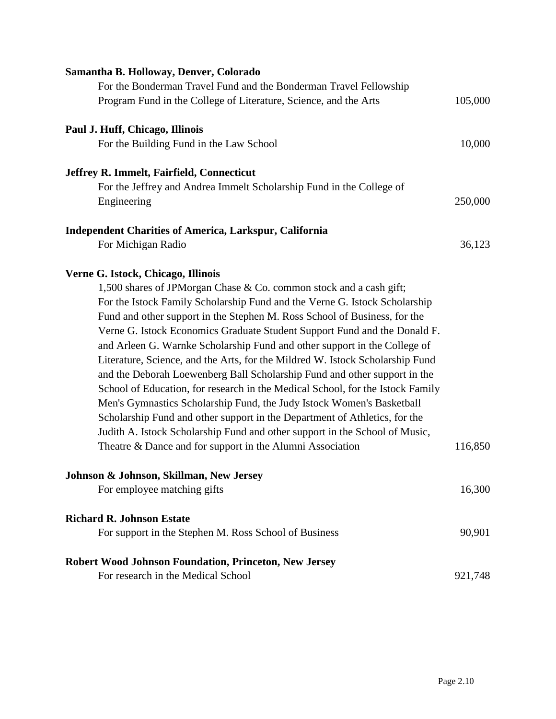| Samantha B. Holloway, Denver, Colorado                                         |         |
|--------------------------------------------------------------------------------|---------|
| For the Bonderman Travel Fund and the Bonderman Travel Fellowship              |         |
| Program Fund in the College of Literature, Science, and the Arts               | 105,000 |
| Paul J. Huff, Chicago, Illinois                                                |         |
| For the Building Fund in the Law School                                        | 10,000  |
| Jeffrey R. Immelt, Fairfield, Connecticut                                      |         |
| For the Jeffrey and Andrea Immelt Scholarship Fund in the College of           |         |
| Engineering                                                                    | 250,000 |
| <b>Independent Charities of America, Larkspur, California</b>                  |         |
| For Michigan Radio                                                             | 36,123  |
| Verne G. Istock, Chicago, Illinois                                             |         |
| 1,500 shares of JPM organ Chase & Co. common stock and a cash gift;            |         |
| For the Istock Family Scholarship Fund and the Verne G. Istock Scholarship     |         |
| Fund and other support in the Stephen M. Ross School of Business, for the      |         |
| Verne G. Istock Economics Graduate Student Support Fund and the Donald F.      |         |
| and Arleen G. Warnke Scholarship Fund and other support in the College of      |         |
| Literature, Science, and the Arts, for the Mildred W. Istock Scholarship Fund  |         |
| and the Deborah Loewenberg Ball Scholarship Fund and other support in the      |         |
| School of Education, for research in the Medical School, for the Istock Family |         |
| Men's Gymnastics Scholarship Fund, the Judy Istock Women's Basketball          |         |
| Scholarship Fund and other support in the Department of Athletics, for the     |         |
| Judith A. Istock Scholarship Fund and other support in the School of Music,    |         |
| Theatre & Dance and for support in the Alumni Association                      | 116,850 |
| Johnson & Johnson, Skillman, New Jersey                                        |         |
| For employee matching gifts                                                    | 16,300  |
| <b>Richard R. Johnson Estate</b>                                               |         |
| For support in the Stephen M. Ross School of Business                          | 90,901  |
| <b>Robert Wood Johnson Foundation, Princeton, New Jersey</b>                   |         |
| For research in the Medical School                                             | 921,748 |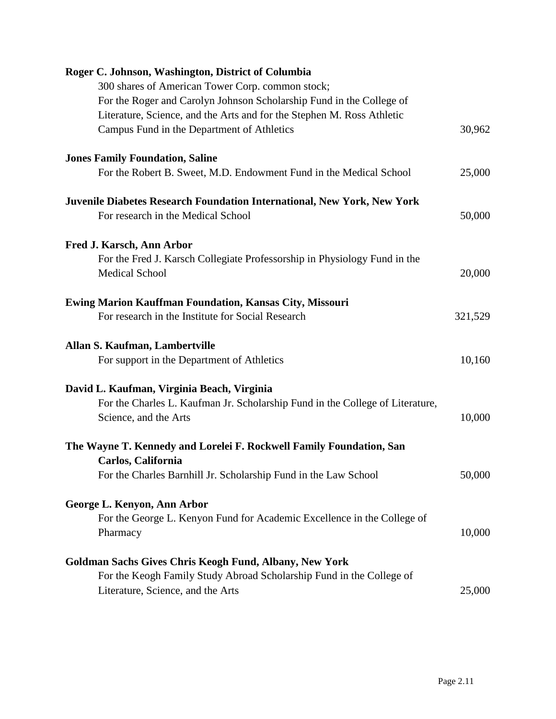| Roger C. Johnson, Washington, District of Columbia                                  |         |
|-------------------------------------------------------------------------------------|---------|
| 300 shares of American Tower Corp. common stock;                                    |         |
| For the Roger and Carolyn Johnson Scholarship Fund in the College of                |         |
| Literature, Science, and the Arts and for the Stephen M. Ross Athletic              |         |
| Campus Fund in the Department of Athletics                                          | 30,962  |
| <b>Jones Family Foundation, Saline</b>                                              |         |
| For the Robert B. Sweet, M.D. Endowment Fund in the Medical School                  | 25,000  |
| Juvenile Diabetes Research Foundation International, New York, New York             |         |
| For research in the Medical School                                                  | 50,000  |
| Fred J. Karsch, Ann Arbor                                                           |         |
| For the Fred J. Karsch Collegiate Professorship in Physiology Fund in the           |         |
| <b>Medical School</b>                                                               | 20,000  |
| <b>Ewing Marion Kauffman Foundation, Kansas City, Missouri</b>                      |         |
| For research in the Institute for Social Research                                   | 321,529 |
| Allan S. Kaufman, Lambertville                                                      |         |
| For support in the Department of Athletics                                          | 10,160  |
| David L. Kaufman, Virginia Beach, Virginia                                          |         |
| For the Charles L. Kaufman Jr. Scholarship Fund in the College of Literature,       |         |
| Science, and the Arts                                                               | 10,000  |
| The Wayne T. Kennedy and Lorelei F. Rockwell Family Foundation, San                 |         |
| Carlos, California                                                                  |         |
| For the Charles Barnhill Jr. Scholarship Fund in the Law School                     | 50,000  |
| George L. Kenyon, Ann Arbor                                                         |         |
| For the George L. Kenyon Fund for Academic Excellence in the College of<br>Pharmacy | 10,000  |
|                                                                                     |         |
| Goldman Sachs Gives Chris Keogh Fund, Albany, New York                              |         |
| For the Keogh Family Study Abroad Scholarship Fund in the College of                |         |
| Literature, Science, and the Arts                                                   | 25,000  |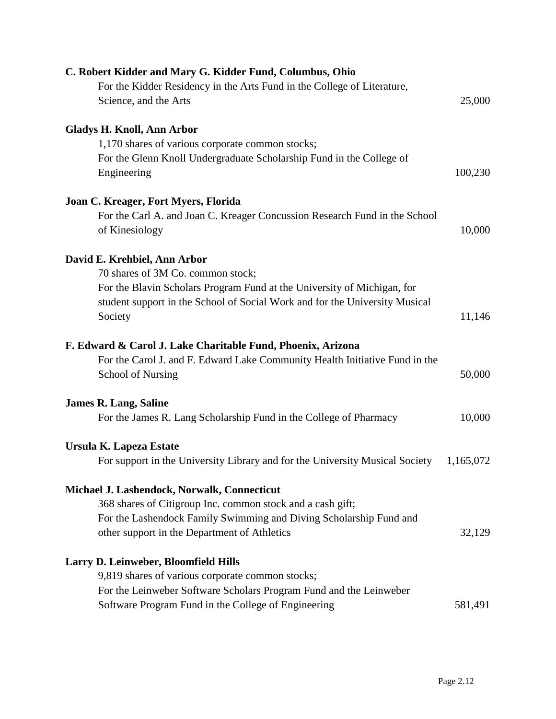| C. Robert Kidder and Mary G. Kidder Fund, Columbus, Ohio                               |           |
|----------------------------------------------------------------------------------------|-----------|
| For the Kidder Residency in the Arts Fund in the College of Literature,                |           |
| Science, and the Arts                                                                  | 25,000    |
| <b>Gladys H. Knoll, Ann Arbor</b>                                                      |           |
| 1,170 shares of various corporate common stocks;                                       |           |
| For the Glenn Knoll Undergraduate Scholarship Fund in the College of<br>Engineering    | 100,230   |
| Joan C. Kreager, Fort Myers, Florida                                                   |           |
| For the Carl A. and Joan C. Kreager Concussion Research Fund in the School             |           |
| of Kinesiology                                                                         | 10,000    |
| David E. Krehbiel, Ann Arbor                                                           |           |
| 70 shares of 3M Co. common stock;                                                      |           |
| For the Blavin Scholars Program Fund at the University of Michigan, for                |           |
| student support in the School of Social Work and for the University Musical<br>Society | 11,146    |
| F. Edward & Carol J. Lake Charitable Fund, Phoenix, Arizona                            |           |
| For the Carol J. and F. Edward Lake Community Health Initiative Fund in the            |           |
| School of Nursing                                                                      | 50,000    |
| <b>James R. Lang, Saline</b>                                                           |           |
| For the James R. Lang Scholarship Fund in the College of Pharmacy                      | 10,000    |
| Ursula K. Lapeza Estate                                                                |           |
| For support in the University Library and for the University Musical Society           | 1,165,072 |
| Michael J. Lashendock, Norwalk, Connecticut                                            |           |
| 368 shares of Citigroup Inc. common stock and a cash gift;                             |           |
| For the Lashendock Family Swimming and Diving Scholarship Fund and                     |           |
| other support in the Department of Athletics                                           | 32,129    |
| Larry D. Leinweber, Bloomfield Hills                                                   |           |
| 9,819 shares of various corporate common stocks;                                       |           |
| For the Leinweber Software Scholars Program Fund and the Leinweber                     |           |
| Software Program Fund in the College of Engineering                                    | 581,491   |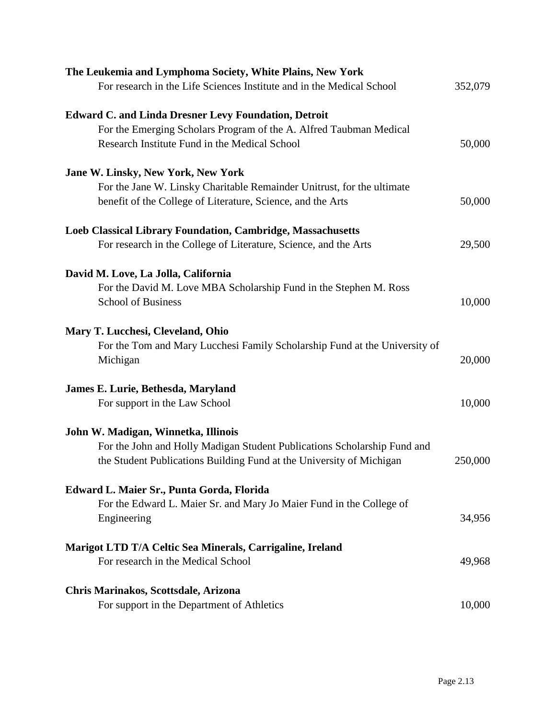| The Leukemia and Lymphoma Society, White Plains, New York                  |         |
|----------------------------------------------------------------------------|---------|
| For research in the Life Sciences Institute and in the Medical School      | 352,079 |
| <b>Edward C. and Linda Dresner Levy Foundation, Detroit</b>                |         |
| For the Emerging Scholars Program of the A. Alfred Taubman Medical         |         |
| Research Institute Fund in the Medical School                              | 50,000  |
| Jane W. Linsky, New York, New York                                         |         |
| For the Jane W. Linsky Charitable Remainder Unitrust, for the ultimate     |         |
| benefit of the College of Literature, Science, and the Arts                | 50,000  |
| Loeb Classical Library Foundation, Cambridge, Massachusetts                |         |
| For research in the College of Literature, Science, and the Arts           | 29,500  |
| David M. Love, La Jolla, California                                        |         |
| For the David M. Love MBA Scholarship Fund in the Stephen M. Ross          |         |
| <b>School of Business</b>                                                  | 10,000  |
| Mary T. Lucchesi, Cleveland, Ohio                                          |         |
| For the Tom and Mary Lucchesi Family Scholarship Fund at the University of |         |
| Michigan                                                                   | 20,000  |
| James E. Lurie, Bethesda, Maryland                                         |         |
| For support in the Law School                                              | 10,000  |
| John W. Madigan, Winnetka, Illinois                                        |         |
| For the John and Holly Madigan Student Publications Scholarship Fund and   |         |
| the Student Publications Building Fund at the University of Michigan       | 250,000 |
| Edward L. Maier Sr., Punta Gorda, Florida                                  |         |
| For the Edward L. Maier Sr. and Mary Jo Maier Fund in the College of       |         |
| Engineering                                                                | 34,956  |
| Marigot LTD T/A Celtic Sea Minerals, Carrigaline, Ireland                  |         |
| For research in the Medical School                                         | 49,968  |
| Chris Marinakos, Scottsdale, Arizona                                       |         |
| For support in the Department of Athletics                                 | 10,000  |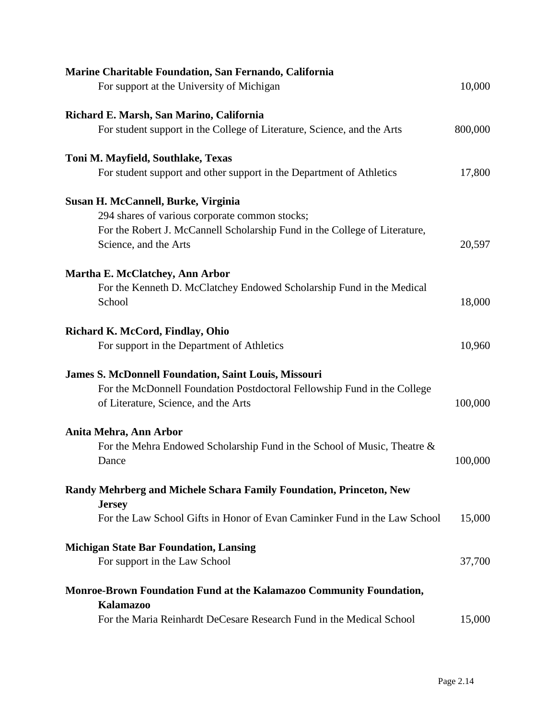| Marine Charitable Foundation, San Fernando, California                     |         |
|----------------------------------------------------------------------------|---------|
| For support at the University of Michigan                                  | 10,000  |
| Richard E. Marsh, San Marino, California                                   |         |
| For student support in the College of Literature, Science, and the Arts    | 800,000 |
| Toni M. Mayfield, Southlake, Texas                                         |         |
| For student support and other support in the Department of Athletics       | 17,800  |
| Susan H. McCannell, Burke, Virginia                                        |         |
| 294 shares of various corporate common stocks;                             |         |
| For the Robert J. McCannell Scholarship Fund in the College of Literature, |         |
| Science, and the Arts                                                      | 20,597  |
| <b>Martha E. McClatchey, Ann Arbor</b>                                     |         |
| For the Kenneth D. McClatchey Endowed Scholarship Fund in the Medical      |         |
| School                                                                     | 18,000  |
| Richard K. McCord, Findlay, Ohio                                           |         |
| For support in the Department of Athletics                                 | 10,960  |
| <b>James S. McDonnell Foundation, Saint Louis, Missouri</b>                |         |
| For the McDonnell Foundation Postdoctoral Fellowship Fund in the College   |         |
| of Literature, Science, and the Arts                                       | 100,000 |
| Anita Mehra, Ann Arbor                                                     |         |
| For the Mehra Endowed Scholarship Fund in the School of Music, Theatre &   |         |
| Dance                                                                      | 100,000 |
| Randy Mehrberg and Michele Schara Family Foundation, Princeton, New        |         |
| <b>Jersey</b>                                                              |         |
| For the Law School Gifts in Honor of Evan Caminker Fund in the Law School  | 15,000  |
| <b>Michigan State Bar Foundation, Lansing</b>                              |         |
| For support in the Law School                                              | 37,700  |
| Monroe-Brown Foundation Fund at the Kalamazoo Community Foundation,        |         |
| <b>Kalamazoo</b>                                                           |         |
| For the Maria Reinhardt DeCesare Research Fund in the Medical School       | 15,000  |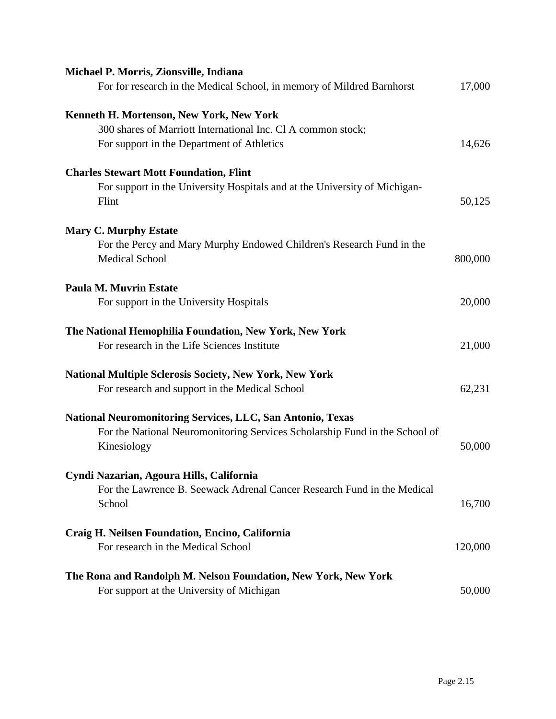| Michael P. Morris, Zionsville, Indiana                                      |         |
|-----------------------------------------------------------------------------|---------|
| For for research in the Medical School, in memory of Mildred Barnhorst      | 17,000  |
| Kenneth H. Mortenson, New York, New York                                    |         |
| 300 shares of Marriott International Inc. Cl A common stock;                |         |
| For support in the Department of Athletics                                  | 14,626  |
| <b>Charles Stewart Mott Foundation, Flint</b>                               |         |
| For support in the University Hospitals and at the University of Michigan-  |         |
| Flint                                                                       | 50,125  |
| <b>Mary C. Murphy Estate</b>                                                |         |
| For the Percy and Mary Murphy Endowed Children's Research Fund in the       |         |
| <b>Medical School</b>                                                       | 800,000 |
| <b>Paula M. Muvrin Estate</b>                                               |         |
| For support in the University Hospitals                                     | 20,000  |
| The National Hemophilia Foundation, New York, New York                      |         |
| For research in the Life Sciences Institute                                 | 21,000  |
| <b>National Multiple Sclerosis Society, New York, New York</b>              |         |
| For research and support in the Medical School                              | 62,231  |
| <b>National Neuromonitoring Services, LLC, San Antonio, Texas</b>           |         |
| For the National Neuromonitoring Services Scholarship Fund in the School of |         |
| Kinesiology                                                                 | 50,000  |
| Cyndi Nazarian, Agoura Hills, California                                    |         |
| For the Lawrence B. Seewack Adrenal Cancer Research Fund in the Medical     |         |
| School                                                                      | 16,700  |
| Craig H. Neilsen Foundation, Encino, California                             |         |
| For research in the Medical School                                          | 120,000 |
| The Rona and Randolph M. Nelson Foundation, New York, New York              |         |
| For support at the University of Michigan                                   | 50,000  |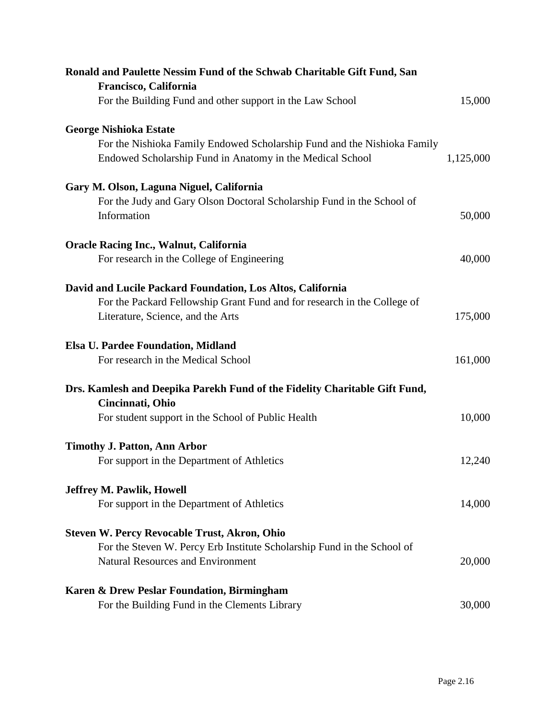| Ronald and Paulette Nessim Fund of the Schwab Charitable Gift Fund, San    |           |
|----------------------------------------------------------------------------|-----------|
| Francisco, California                                                      |           |
| For the Building Fund and other support in the Law School                  | 15,000    |
| <b>George Nishioka Estate</b>                                              |           |
| For the Nishioka Family Endowed Scholarship Fund and the Nishioka Family   |           |
| Endowed Scholarship Fund in Anatomy in the Medical School                  | 1,125,000 |
| Gary M. Olson, Laguna Niguel, California                                   |           |
| For the Judy and Gary Olson Doctoral Scholarship Fund in the School of     |           |
| Information                                                                | 50,000    |
| <b>Oracle Racing Inc., Walnut, California</b>                              |           |
| For research in the College of Engineering                                 | 40,000    |
| David and Lucile Packard Foundation, Los Altos, California                 |           |
| For the Packard Fellowship Grant Fund and for research in the College of   |           |
| Literature, Science, and the Arts                                          | 175,000   |
| <b>Elsa U. Pardee Foundation, Midland</b>                                  |           |
| For research in the Medical School                                         | 161,000   |
| Drs. Kamlesh and Deepika Parekh Fund of the Fidelity Charitable Gift Fund, |           |
| Cincinnati, Ohio                                                           |           |
| For student support in the School of Public Health                         | 10,000    |
| <b>Timothy J. Patton, Ann Arbor</b>                                        |           |
| For support in the Department of Athletics                                 | 12,240    |
| <b>Jeffrey M. Pawlik, Howell</b>                                           |           |
| For support in the Department of Athletics                                 | 14,000    |
| <b>Steven W. Percy Revocable Trust, Akron, Ohio</b>                        |           |
| For the Steven W. Percy Erb Institute Scholarship Fund in the School of    |           |
| <b>Natural Resources and Environment</b>                                   | 20,000    |
| Karen & Drew Peslar Foundation, Birmingham                                 |           |
| For the Building Fund in the Clements Library                              | 30,000    |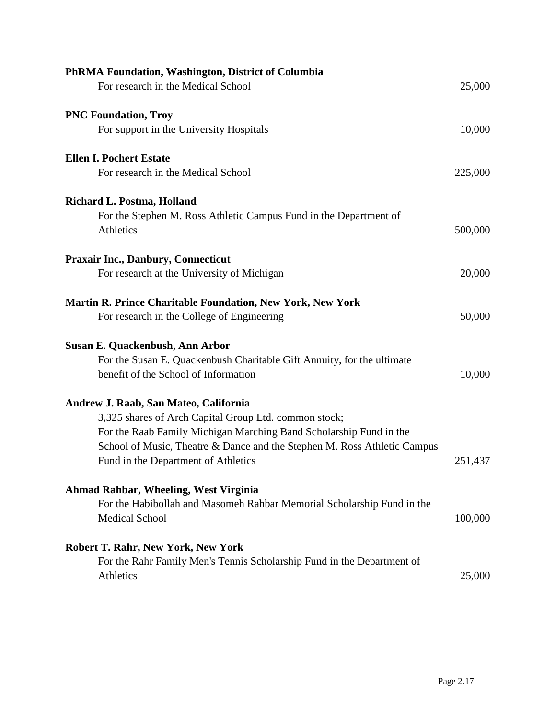| PhRMA Foundation, Washington, District of Columbia                       |         |
|--------------------------------------------------------------------------|---------|
| For research in the Medical School                                       | 25,000  |
| <b>PNC Foundation, Troy</b>                                              |         |
| For support in the University Hospitals                                  | 10,000  |
| <b>Ellen I. Pochert Estate</b>                                           |         |
| For research in the Medical School                                       | 225,000 |
| Richard L. Postma, Holland                                               |         |
| For the Stephen M. Ross Athletic Campus Fund in the Department of        |         |
| <b>Athletics</b>                                                         | 500,000 |
| <b>Praxair Inc., Danbury, Connecticut</b>                                |         |
| For research at the University of Michigan                               | 20,000  |
| <b>Martin R. Prince Charitable Foundation, New York, New York</b>        |         |
| For research in the College of Engineering                               | 50,000  |
| <b>Susan E. Quackenbush, Ann Arbor</b>                                   |         |
| For the Susan E. Quackenbush Charitable Gift Annuity, for the ultimate   |         |
| benefit of the School of Information                                     | 10,000  |
| Andrew J. Raab, San Mateo, California                                    |         |
| 3,325 shares of Arch Capital Group Ltd. common stock;                    |         |
| For the Raab Family Michigan Marching Band Scholarship Fund in the       |         |
| School of Music, Theatre & Dance and the Stephen M. Ross Athletic Campus |         |
| Fund in the Department of Athletics                                      | 251,437 |
| Ahmad Rahbar, Wheeling, West Virginia                                    |         |
| For the Habibollah and Masomeh Rahbar Memorial Scholarship Fund in the   |         |
| <b>Medical School</b>                                                    | 100,000 |
| <b>Robert T. Rahr, New York, New York</b>                                |         |
| For the Rahr Family Men's Tennis Scholarship Fund in the Department of   |         |
| Athletics                                                                | 25,000  |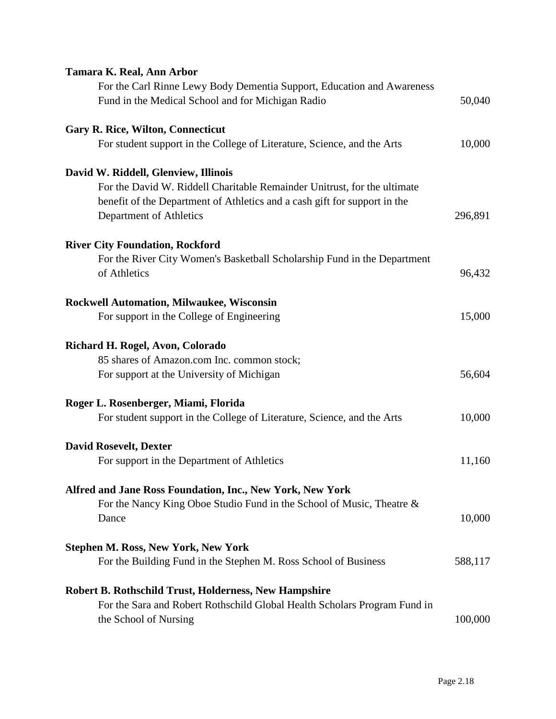# **Tamara K. Real, Ann Arbor**

| For the Carl Rinne Lewy Body Dementia Support, Education and Awareness<br>Fund in the Medical School and for Michigan Radio                                                      | 50,040  |
|----------------------------------------------------------------------------------------------------------------------------------------------------------------------------------|---------|
| <b>Gary R. Rice, Wilton, Connecticut</b><br>For student support in the College of Literature, Science, and the Arts                                                              | 10,000  |
| David W. Riddell, Glenview, Illinois                                                                                                                                             |         |
| For the David W. Riddell Charitable Remainder Unitrust, for the ultimate<br>benefit of the Department of Athletics and a cash gift for support in the<br>Department of Athletics | 296,891 |
| <b>River City Foundation, Rockford</b>                                                                                                                                           |         |
| For the River City Women's Basketball Scholarship Fund in the Department<br>of Athletics                                                                                         | 96,432  |
| <b>Rockwell Automation, Milwaukee, Wisconsin</b>                                                                                                                                 |         |
| For support in the College of Engineering                                                                                                                                        | 15,000  |
| Richard H. Rogel, Avon, Colorado                                                                                                                                                 |         |
| 85 shares of Amazon.com Inc. common stock;                                                                                                                                       |         |
| For support at the University of Michigan                                                                                                                                        | 56,604  |
| Roger L. Rosenberger, Miami, Florida                                                                                                                                             |         |
| For student support in the College of Literature, Science, and the Arts                                                                                                          | 10,000  |
| <b>David Rosevelt, Dexter</b>                                                                                                                                                    |         |
| For support in the Department of Athletics                                                                                                                                       | 11,160  |
| Alfred and Jane Ross Foundation, Inc., New York, New York                                                                                                                        |         |
| For the Nancy King Oboe Studio Fund in the School of Music, Theatre &<br>Dance                                                                                                   | 10,000  |
| <b>Stephen M. Ross, New York, New York</b>                                                                                                                                       |         |
| For the Building Fund in the Stephen M. Ross School of Business                                                                                                                  | 588,117 |
| <b>Robert B. Rothschild Trust, Holderness, New Hampshire</b>                                                                                                                     |         |
| For the Sara and Robert Rothschild Global Health Scholars Program Fund in                                                                                                        |         |
| the School of Nursing                                                                                                                                                            | 100,000 |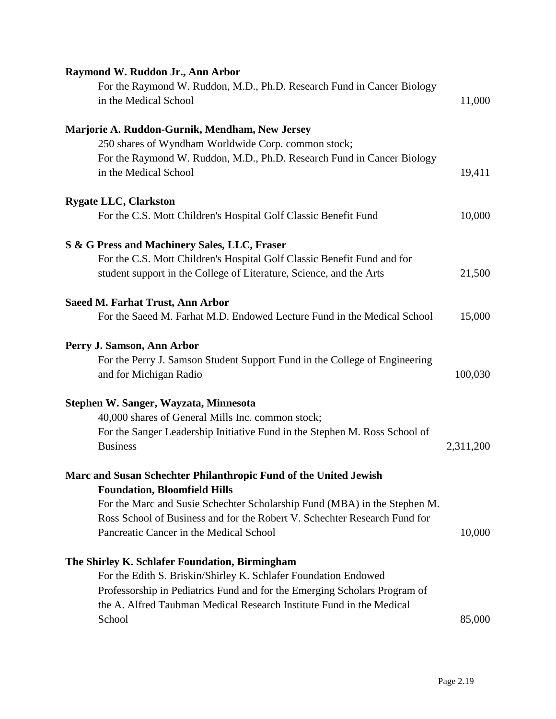| Raymond W. Ruddon Jr., Ann Arbor                                           |           |
|----------------------------------------------------------------------------|-----------|
| For the Raymond W. Ruddon, M.D., Ph.D. Research Fund in Cancer Biology     |           |
| in the Medical School                                                      | 11,000    |
| Marjorie A. Ruddon-Gurnik, Mendham, New Jersey                             |           |
| 250 shares of Wyndham Worldwide Corp. common stock;                        |           |
| For the Raymond W. Ruddon, M.D., Ph.D. Research Fund in Cancer Biology     |           |
| in the Medical School                                                      | 19,411    |
| <b>Rygate LLC, Clarkston</b>                                               |           |
| For the C.S. Mott Children's Hospital Golf Classic Benefit Fund            | 10,000    |
| S & G Press and Machinery Sales, LLC, Fraser                               |           |
| For the C.S. Mott Children's Hospital Golf Classic Benefit Fund and for    |           |
| student support in the College of Literature, Science, and the Arts        | 21,500    |
| <b>Saeed M. Farhat Trust, Ann Arbor</b>                                    |           |
| For the Saeed M. Farhat M.D. Endowed Lecture Fund in the Medical School    | 15,000    |
| Perry J. Samson, Ann Arbor                                                 |           |
| For the Perry J. Samson Student Support Fund in the College of Engineering |           |
| and for Michigan Radio                                                     | 100,030   |
| Stephen W. Sanger, Wayzata, Minnesota                                      |           |
| 40,000 shares of General Mills Inc. common stock;                          |           |
| For the Sanger Leadership Initiative Fund in the Stephen M. Ross School of |           |
| <b>Business</b>                                                            | 2,311,200 |
| Marc and Susan Schechter Philanthropic Fund of the United Jewish           |           |
| <b>Foundation, Bloomfield Hills</b>                                        |           |
| For the Marc and Susie Schechter Scholarship Fund (MBA) in the Stephen M.  |           |
| Ross School of Business and for the Robert V. Schechter Research Fund for  |           |
| Pancreatic Cancer in the Medical School                                    | 10,000    |
| The Shirley K. Schlafer Foundation, Birmingham                             |           |
| For the Edith S. Briskin/Shirley K. Schlafer Foundation Endowed            |           |
| Professorship in Pediatrics Fund and for the Emerging Scholars Program of  |           |
| the A. Alfred Taubman Medical Research Institute Fund in the Medical       |           |
| School                                                                     | 85,000    |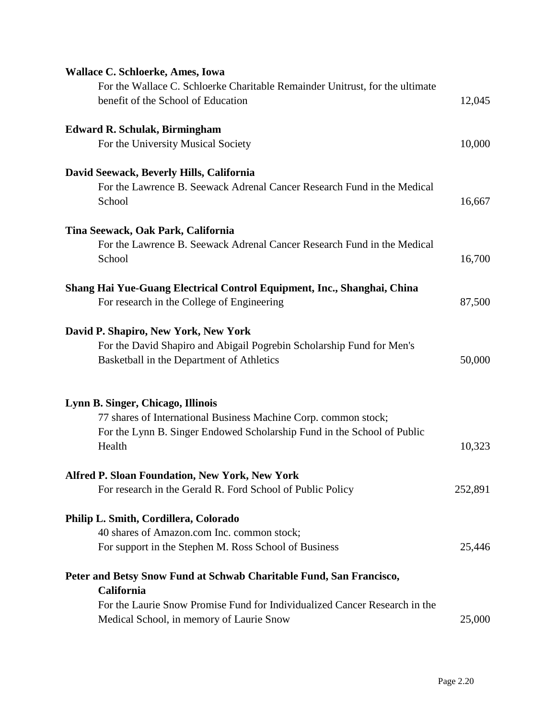| <b>Wallace C. Schloerke, Ames, Iowa</b><br>For the Wallace C. Schloerke Charitable Remainder Unitrust, for the ultimate                              |         |
|------------------------------------------------------------------------------------------------------------------------------------------------------|---------|
| benefit of the School of Education                                                                                                                   | 12,045  |
| <b>Edward R. Schulak, Birmingham</b>                                                                                                                 |         |
| For the University Musical Society                                                                                                                   | 10,000  |
| David Seewack, Beverly Hills, California<br>For the Lawrence B. Seewack Adrenal Cancer Research Fund in the Medical<br>School                        | 16,667  |
| Tina Seewack, Oak Park, California                                                                                                                   |         |
| For the Lawrence B. Seewack Adrenal Cancer Research Fund in the Medical<br>School                                                                    | 16,700  |
| Shang Hai Yue-Guang Electrical Control Equipment, Inc., Shanghai, China<br>For research in the College of Engineering                                | 87,500  |
| David P. Shapiro, New York, New York                                                                                                                 |         |
| For the David Shapiro and Abigail Pogrebin Scholarship Fund for Men's<br>Basketball in the Department of Athletics                                   | 50,000  |
| Lynn B. Singer, Chicago, Illinois                                                                                                                    |         |
| 77 shares of International Business Machine Corp. common stock;<br>For the Lynn B. Singer Endowed Scholarship Fund in the School of Public<br>Health | 10,323  |
| <b>Alfred P. Sloan Foundation, New York, New York</b>                                                                                                |         |
| For research in the Gerald R. Ford School of Public Policy                                                                                           | 252,891 |
| Philip L. Smith, Cordillera, Colorado                                                                                                                |         |
| 40 shares of Amazon.com Inc. common stock;                                                                                                           |         |
| For support in the Stephen M. Ross School of Business                                                                                                | 25,446  |
| Peter and Betsy Snow Fund at Schwab Charitable Fund, San Francisco,<br>California                                                                    |         |
| For the Laurie Snow Promise Fund for Individualized Cancer Research in the                                                                           |         |
| Medical School, in memory of Laurie Snow                                                                                                             | 25,000  |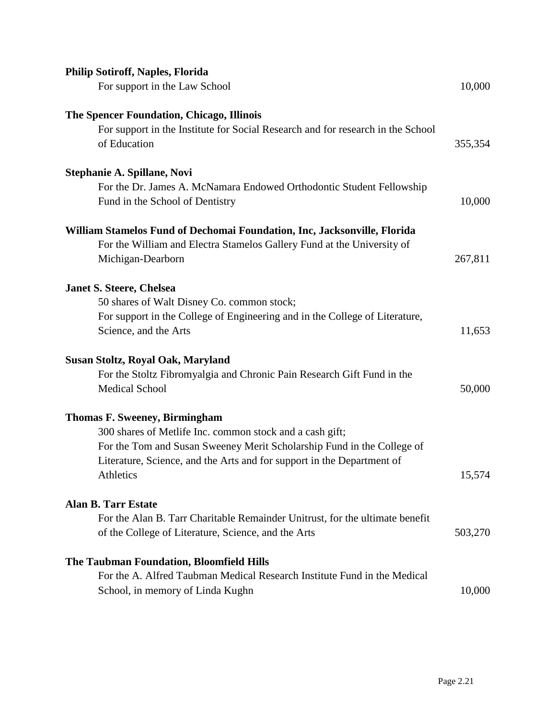| <b>Philip Sotiroff, Naples, Florida</b><br>For support in the Law School                                                                                                                                                                                          | 10,000  |
|-------------------------------------------------------------------------------------------------------------------------------------------------------------------------------------------------------------------------------------------------------------------|---------|
| The Spencer Foundation, Chicago, Illinois<br>For support in the Institute for Social Research and for research in the School<br>of Education                                                                                                                      | 355,354 |
| Stephanie A. Spillane, Novi<br>For the Dr. James A. McNamara Endowed Orthodontic Student Fellowship<br>Fund in the School of Dentistry                                                                                                                            | 10,000  |
| William Stamelos Fund of Dechomai Foundation, Inc, Jacksonville, Florida<br>For the William and Electra Stamelos Gallery Fund at the University of<br>Michigan-Dearborn                                                                                           | 267,811 |
| <b>Janet S. Steere, Chelsea</b><br>50 shares of Walt Disney Co. common stock;<br>For support in the College of Engineering and in the College of Literature,<br>Science, and the Arts                                                                             | 11,653  |
| Susan Stoltz, Royal Oak, Maryland<br>For the Stoltz Fibromyalgia and Chronic Pain Research Gift Fund in the<br><b>Medical School</b>                                                                                                                              | 50,000  |
| <b>Thomas F. Sweeney, Birmingham</b><br>300 shares of Metlife Inc. common stock and a cash gift;<br>For the Tom and Susan Sweeney Merit Scholarship Fund in the College of<br>Literature, Science, and the Arts and for support in the Department of<br>Athletics | 15,574  |
| <b>Alan B. Tarr Estate</b><br>For the Alan B. Tarr Charitable Remainder Unitrust, for the ultimate benefit<br>of the College of Literature, Science, and the Arts                                                                                                 | 503,270 |
| The Taubman Foundation, Bloomfield Hills<br>For the A. Alfred Taubman Medical Research Institute Fund in the Medical<br>School, in memory of Linda Kughn                                                                                                          | 10,000  |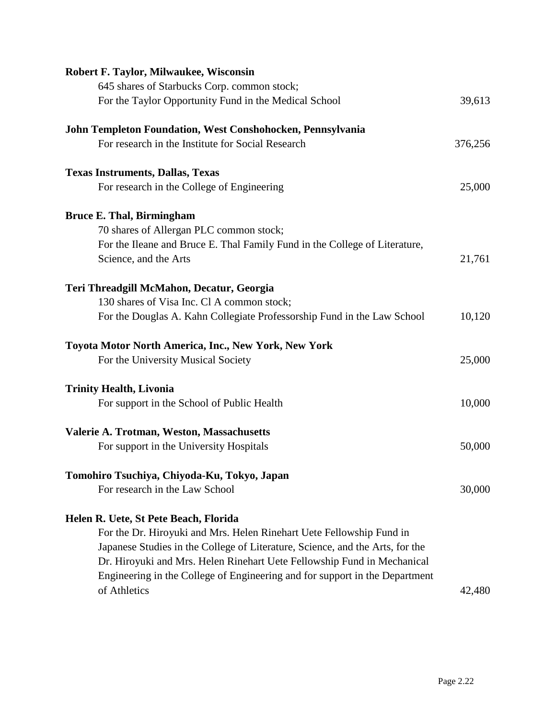| Robert F. Taylor, Milwaukee, Wisconsin                                        |         |
|-------------------------------------------------------------------------------|---------|
| 645 shares of Starbucks Corp. common stock;                                   |         |
| For the Taylor Opportunity Fund in the Medical School                         | 39,613  |
| John Templeton Foundation, West Conshohocken, Pennsylvania                    |         |
| For research in the Institute for Social Research                             | 376,256 |
| <b>Texas Instruments, Dallas, Texas</b>                                       |         |
| For research in the College of Engineering                                    | 25,000  |
| <b>Bruce E. Thal, Birmingham</b>                                              |         |
| 70 shares of Allergan PLC common stock;                                       |         |
| For the Ileane and Bruce E. Thal Family Fund in the College of Literature,    |         |
| Science, and the Arts                                                         | 21,761  |
| Teri Threadgill McMahon, Decatur, Georgia                                     |         |
| 130 shares of Visa Inc. Cl A common stock;                                    |         |
| For the Douglas A. Kahn Collegiate Professorship Fund in the Law School       | 10,120  |
| Toyota Motor North America, Inc., New York, New York                          |         |
| For the University Musical Society                                            | 25,000  |
| <b>Trinity Health, Livonia</b>                                                |         |
| For support in the School of Public Health                                    | 10,000  |
| Valerie A. Trotman, Weston, Massachusetts                                     |         |
| For support in the University Hospitals                                       | 50,000  |
| Tomohiro Tsuchiya, Chiyoda-Ku, Tokyo, Japan                                   |         |
| For research in the Law School                                                | 30,000  |
| Helen R. Uete, St Pete Beach, Florida                                         |         |
| For the Dr. Hiroyuki and Mrs. Helen Rinehart Uete Fellowship Fund in          |         |
| Japanese Studies in the College of Literature, Science, and the Arts, for the |         |
| Dr. Hiroyuki and Mrs. Helen Rinehart Uete Fellowship Fund in Mechanical       |         |
| Engineering in the College of Engineering and for support in the Department   |         |
| of Athletics                                                                  | 42,480  |
|                                                                               |         |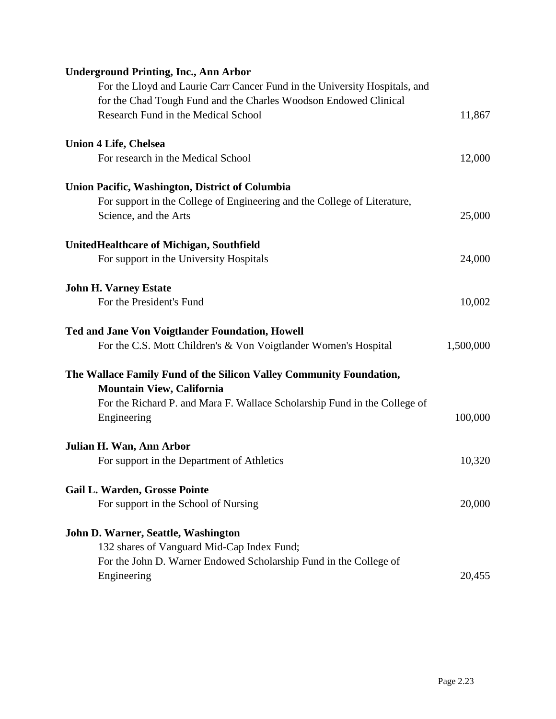| <b>Underground Printing, Inc., Ann Arbor</b>                               |           |
|----------------------------------------------------------------------------|-----------|
| For the Lloyd and Laurie Carr Cancer Fund in the University Hospitals, and |           |
| for the Chad Tough Fund and the Charles Woodson Endowed Clinical           |           |
| Research Fund in the Medical School                                        | 11,867    |
| <b>Union 4 Life, Chelsea</b>                                               |           |
| For research in the Medical School                                         | 12,000    |
| Union Pacific, Washington, District of Columbia                            |           |
| For support in the College of Engineering and the College of Literature,   |           |
| Science, and the Arts                                                      | 25,000    |
| United Healthcare of Michigan, Southfield                                  |           |
| For support in the University Hospitals                                    | 24,000    |
| <b>John H. Varney Estate</b>                                               |           |
| For the President's Fund                                                   | 10,002    |
| Ted and Jane Von Voigtlander Foundation, Howell                            |           |
| For the C.S. Mott Children's & Von Voigtlander Women's Hospital            | 1,500,000 |
| The Wallace Family Fund of the Silicon Valley Community Foundation,        |           |
| <b>Mountain View, California</b>                                           |           |
| For the Richard P. and Mara F. Wallace Scholarship Fund in the College of  |           |
| Engineering                                                                | 100,000   |
| Julian H. Wan, Ann Arbor                                                   |           |
| For support in the Department of Athletics                                 | 10,320    |
| <b>Gail L. Warden, Grosse Pointe</b>                                       |           |
| For support in the School of Nursing                                       | 20,000    |
| John D. Warner, Seattle, Washington                                        |           |
| 132 shares of Vanguard Mid-Cap Index Fund;                                 |           |
| For the John D. Warner Endowed Scholarship Fund in the College of          |           |
| Engineering                                                                | 20,455    |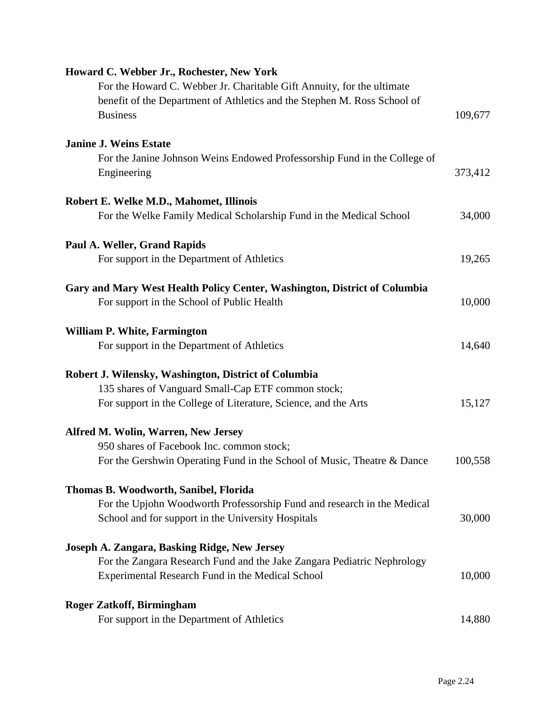| Howard C. Webber Jr., Rochester, New York                                                                               |         |
|-------------------------------------------------------------------------------------------------------------------------|---------|
| For the Howard C. Webber Jr. Charitable Gift Annuity, for the ultimate                                                  |         |
| benefit of the Department of Athletics and the Stephen M. Ross School of<br><b>Business</b>                             | 109,677 |
| <b>Janine J. Weins Estate</b>                                                                                           |         |
| For the Janine Johnson Weins Endowed Professorship Fund in the College of<br>Engineering                                | 373,412 |
| Robert E. Welke M.D., Mahomet, Illinois                                                                                 |         |
| For the Welke Family Medical Scholarship Fund in the Medical School                                                     | 34,000  |
| Paul A. Weller, Grand Rapids                                                                                            |         |
| For support in the Department of Athletics                                                                              | 19,265  |
| Gary and Mary West Health Policy Center, Washington, District of Columbia<br>For support in the School of Public Health | 10,000  |
| <b>William P. White, Farmington</b>                                                                                     |         |
| For support in the Department of Athletics                                                                              | 14,640  |
| Robert J. Wilensky, Washington, District of Columbia                                                                    |         |
| 135 shares of Vanguard Small-Cap ETF common stock;                                                                      |         |
| For support in the College of Literature, Science, and the Arts                                                         | 15,127  |
| <b>Alfred M. Wolin, Warren, New Jersey</b>                                                                              |         |
| 950 shares of Facebook Inc. common stock;                                                                               |         |
| For the Gershwin Operating Fund in the School of Music, Theatre & Dance                                                 | 100,558 |
| Thomas B. Woodworth, Sanibel, Florida                                                                                   |         |
| For the Upjohn Woodworth Professorship Fund and research in the Medical                                                 |         |
| School and for support in the University Hospitals                                                                      | 30,000  |
| Joseph A. Zangara, Basking Ridge, New Jersey                                                                            |         |
| For the Zangara Research Fund and the Jake Zangara Pediatric Nephrology                                                 |         |
| Experimental Research Fund in the Medical School                                                                        | 10,000  |
| <b>Roger Zatkoff, Birmingham</b>                                                                                        |         |
| For support in the Department of Athletics                                                                              | 14,880  |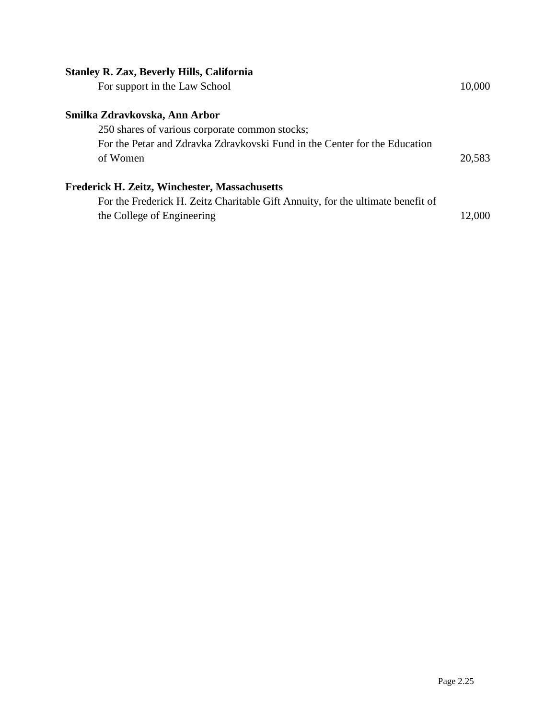# **Stanley R. Zax, Beverly Hills, California**

| For support in the Law School                                                   | 10,000 |
|---------------------------------------------------------------------------------|--------|
| Smilka Zdravkovska, Ann Arbor                                                   |        |
| 250 shares of various corporate common stocks;                                  |        |
| For the Petar and Zdravka Zdravkovski Fund in the Center for the Education      |        |
| of Women                                                                        | 20,583 |
| Frederick H. Zeitz, Winchester, Massachusetts                                   |        |
| For the Frederick H. Zeitz Charitable Gift Annuity, for the ultimate benefit of |        |
| the College of Engineering                                                      | 12,000 |
|                                                                                 |        |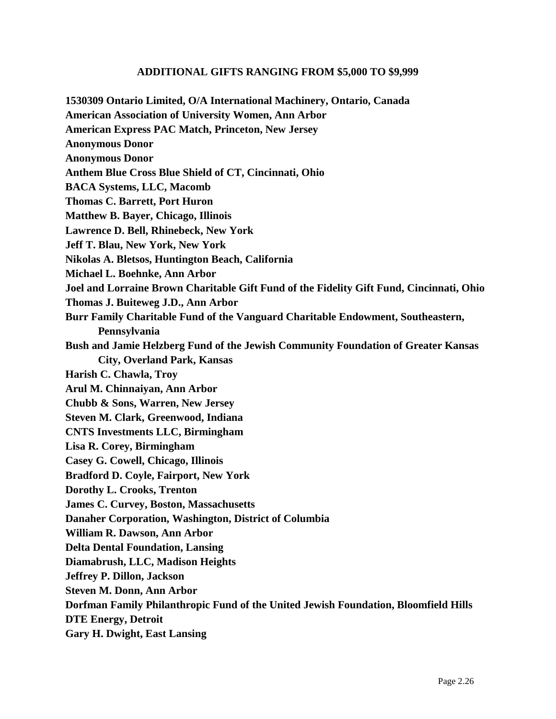## **ADDITIONAL GIFTS RANGING FROM \$5,000 TO \$9,999**

**1530309 Ontario Limited, O/A International Machinery, Ontario, Canada American Association of University Women, Ann Arbor American Express PAC Match, Princeton, New Jersey Anonymous Donor Anonymous Donor Anthem Blue Cross Blue Shield of CT, Cincinnati, Ohio BACA Systems, LLC, Macomb Thomas C. Barrett, Port Huron Matthew B. Bayer, Chicago, Illinois Lawrence D. Bell, Rhinebeck, New York Jeff T. Blau, New York, New York Nikolas A. Bletsos, Huntington Beach, California Michael L. Boehnke, Ann Arbor Joel and Lorraine Brown Charitable Gift Fund of the Fidelity Gift Fund, Cincinnati, Ohio Thomas J. Buiteweg J.D., Ann Arbor Burr Family Charitable Fund of the Vanguard Charitable Endowment, Southeastern, Pennsylvania Bush and Jamie Helzberg Fund of the Jewish Community Foundation of Greater Kansas City, Overland Park, Kansas Harish C. Chawla, Troy Arul M. Chinnaiyan, Ann Arbor Chubb & Sons, Warren, New Jersey Steven M. Clark, Greenwood, Indiana CNTS Investments LLC, Birmingham Lisa R. Corey, Birmingham Casey G. Cowell, Chicago, Illinois Bradford D. Coyle, Fairport, New York Dorothy L. Crooks, Trenton James C. Curvey, Boston, Massachusetts Danaher Corporation, Washington, District of Columbia William R. Dawson, Ann Arbor Delta Dental Foundation, Lansing Diamabrush, LLC, Madison Heights Jeffrey P. Dillon, Jackson Steven M. Donn, Ann Arbor Dorfman Family Philanthropic Fund of the United Jewish Foundation, Bloomfield Hills DTE Energy, Detroit Gary H. Dwight, East Lansing**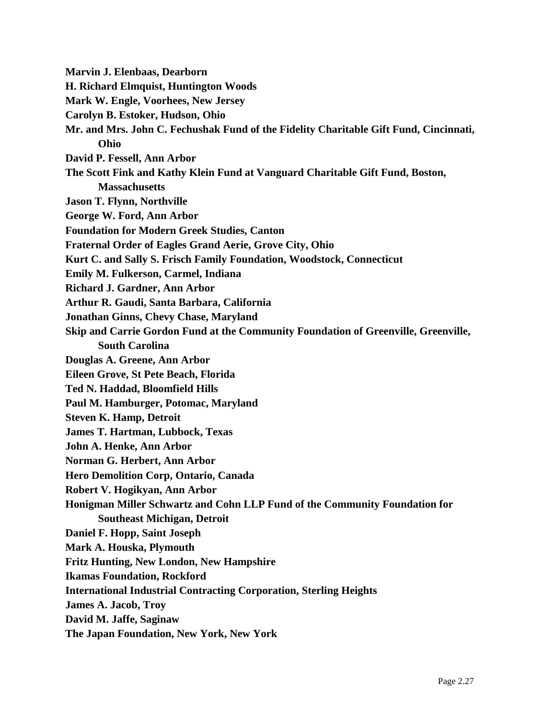**Marvin J. Elenbaas, Dearborn H. Richard Elmquist, Huntington Woods Mark W. Engle, Voorhees, New Jersey Carolyn B. Estoker, Hudson, Ohio Mr. and Mrs. John C. Fechushak Fund of the Fidelity Charitable Gift Fund, Cincinnati, Ohio David P. Fessell, Ann Arbor The Scott Fink and Kathy Klein Fund at Vanguard Charitable Gift Fund, Boston, Massachusetts Jason T. Flynn, Northville George W. Ford, Ann Arbor Foundation for Modern Greek Studies, Canton Fraternal Order of Eagles Grand Aerie, Grove City, Ohio Kurt C. and Sally S. Frisch Family Foundation, Woodstock, Connecticut Emily M. Fulkerson, Carmel, Indiana Richard J. Gardner, Ann Arbor Arthur R. Gaudi, Santa Barbara, California Jonathan Ginns, Chevy Chase, Maryland Skip and Carrie Gordon Fund at the Community Foundation of Greenville, Greenville, South Carolina Douglas A. Greene, Ann Arbor Eileen Grove, St Pete Beach, Florida Ted N. Haddad, Bloomfield Hills Paul M. Hamburger, Potomac, Maryland Steven K. Hamp, Detroit James T. Hartman, Lubbock, Texas John A. Henke, Ann Arbor Norman G. Herbert, Ann Arbor Hero Demolition Corp, Ontario, Canada Robert V. Hogikyan, Ann Arbor Honigman Miller Schwartz and Cohn LLP Fund of the Community Foundation for Southeast Michigan, Detroit Daniel F. Hopp, Saint Joseph Mark A. Houska, Plymouth Fritz Hunting, New London, New Hampshire Ikamas Foundation, Rockford International Industrial Contracting Corporation, Sterling Heights James A. Jacob, Troy David M. Jaffe, Saginaw The Japan Foundation, New York, New York**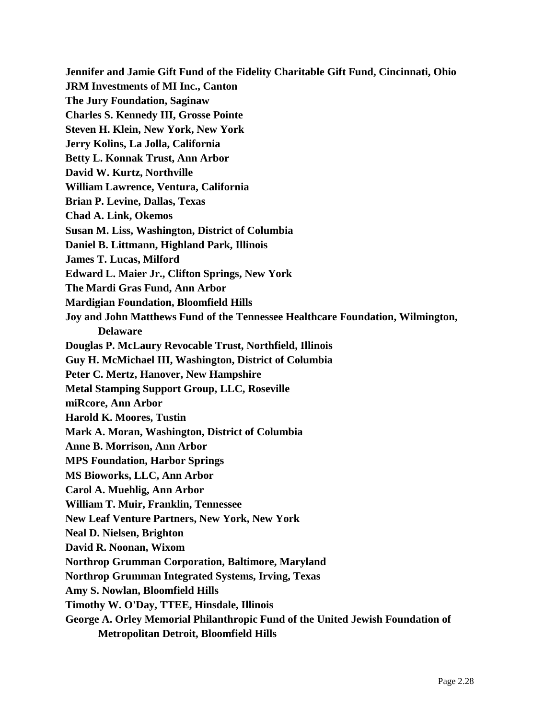**Jennifer and Jamie Gift Fund of the Fidelity Charitable Gift Fund, Cincinnati, Ohio JRM Investments of MI Inc., Canton The Jury Foundation, Saginaw Charles S. Kennedy III, Grosse Pointe Steven H. Klein, New York, New York Jerry Kolins, La Jolla, California Betty L. Konnak Trust, Ann Arbor David W. Kurtz, Northville William Lawrence, Ventura, California Brian P. Levine, Dallas, Texas Chad A. Link, Okemos Susan M. Liss, Washington, District of Columbia Daniel B. Littmann, Highland Park, Illinois James T. Lucas, Milford Edward L. Maier Jr., Clifton Springs, New York The Mardi Gras Fund, Ann Arbor Mardigian Foundation, Bloomfield Hills Joy and John Matthews Fund of the Tennessee Healthcare Foundation, Wilmington, Delaware Douglas P. McLaury Revocable Trust, Northfield, Illinois Guy H. McMichael III, Washington, District of Columbia Peter C. Mertz, Hanover, New Hampshire Metal Stamping Support Group, LLC, Roseville miRcore, Ann Arbor Harold K. Moores, Tustin Mark A. Moran, Washington, District of Columbia Anne B. Morrison, Ann Arbor MPS Foundation, Harbor Springs MS Bioworks, LLC, Ann Arbor Carol A. Muehlig, Ann Arbor William T. Muir, Franklin, Tennessee New Leaf Venture Partners, New York, New York Neal D. Nielsen, Brighton David R. Noonan, Wixom Northrop Grumman Corporation, Baltimore, Maryland Northrop Grumman Integrated Systems, Irving, Texas Amy S. Nowlan, Bloomfield Hills Timothy W. O'Day, TTEE, Hinsdale, Illinois George A. Orley Memorial Philanthropic Fund of the United Jewish Foundation of** 

**Metropolitan Detroit, Bloomfield Hills**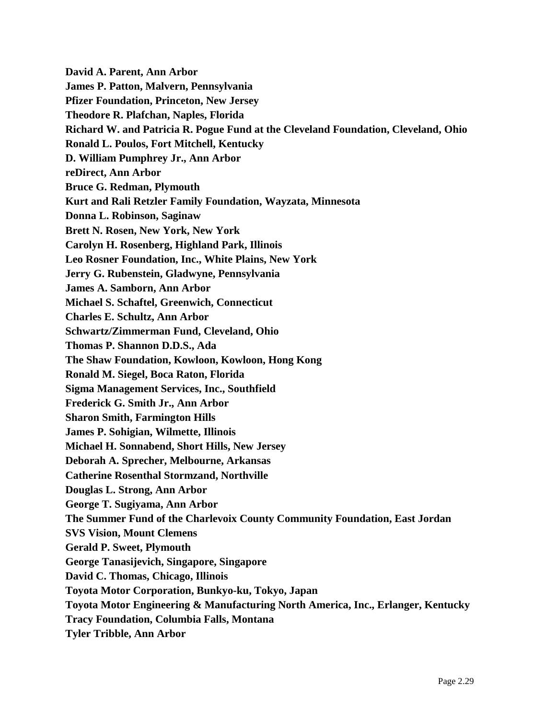**David A. Parent, Ann Arbor James P. Patton, Malvern, Pennsylvania Pfizer Foundation, Princeton, New Jersey Theodore R. Plafchan, Naples, Florida Richard W. and Patricia R. Pogue Fund at the Cleveland Foundation, Cleveland, Ohio Ronald L. Poulos, Fort Mitchell, Kentucky D. William Pumphrey Jr., Ann Arbor reDirect, Ann Arbor Bruce G. Redman, Plymouth Kurt and Rali Retzler Family Foundation, Wayzata, Minnesota Donna L. Robinson, Saginaw Brett N. Rosen, New York, New York Carolyn H. Rosenberg, Highland Park, Illinois Leo Rosner Foundation, Inc., White Plains, New York Jerry G. Rubenstein, Gladwyne, Pennsylvania James A. Samborn, Ann Arbor Michael S. Schaftel, Greenwich, Connecticut Charles E. Schultz, Ann Arbor Schwartz/Zimmerman Fund, Cleveland, Ohio Thomas P. Shannon D.D.S., Ada The Shaw Foundation, Kowloon, Kowloon, Hong Kong Ronald M. Siegel, Boca Raton, Florida Sigma Management Services, Inc., Southfield Frederick G. Smith Jr., Ann Arbor Sharon Smith, Farmington Hills James P. Sohigian, Wilmette, Illinois Michael H. Sonnabend, Short Hills, New Jersey Deborah A. Sprecher, Melbourne, Arkansas Catherine Rosenthal Stormzand, Northville Douglas L. Strong, Ann Arbor George T. Sugiyama, Ann Arbor The Summer Fund of the Charlevoix County Community Foundation, East Jordan SVS Vision, Mount Clemens Gerald P. Sweet, Plymouth George Tanasijevich, Singapore, Singapore David C. Thomas, Chicago, Illinois Toyota Motor Corporation, Bunkyo-ku, Tokyo, Japan Toyota Motor Engineering & Manufacturing North America, Inc., Erlanger, Kentucky Tracy Foundation, Columbia Falls, Montana Tyler Tribble, Ann Arbor**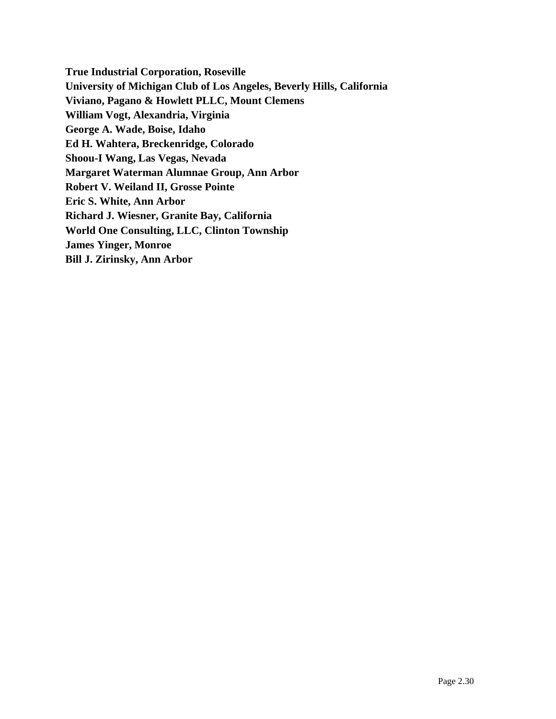**True Industrial Corporation, Roseville University of Michigan Club of Los Angeles, Beverly Hills, California Viviano, Pagano & Howlett PLLC, Mount Clemens William Vogt, Alexandria, Virginia George A. Wade, Boise, Idaho Ed H. Wahtera, Breckenridge, Colorado Shoou-I Wang, Las Vegas, Nevada Margaret Waterman Alumnae Group, Ann Arbor Robert V. Weiland II, Grosse Pointe Eric S. White, Ann Arbor Richard J. Wiesner, Granite Bay, California World One Consulting, LLC, Clinton Township James Yinger, Monroe Bill J. Zirinsky, Ann Arbor**